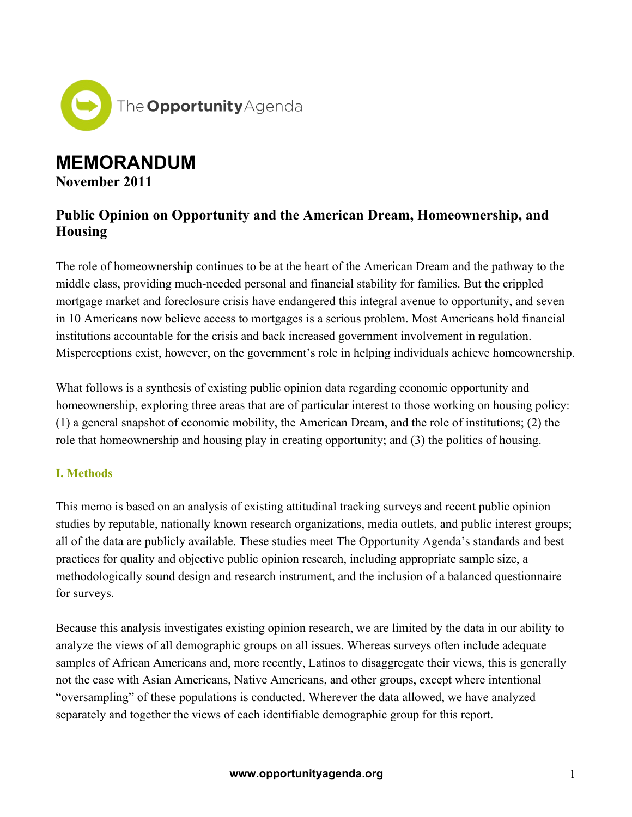

# **MEMORANDUM**

**November 2011**

## **Public Opinion on Opportunity and the American Dream, Homeownership, and Housing**

The role of homeownership continues to be at the heart of the American Dream and the pathway to the middle class, providing much-needed personal and financial stability for families. But the crippled mortgage market and foreclosure crisis have endangered this integral avenue to opportunity, and seven in 10 Americans now believe access to mortgages is a serious problem. Most Americans hold financial institutions accountable for the crisis and back increased government involvement in regulation. Misperceptions exist, however, on the government's role in helping individuals achieve homeownership.

What follows is a synthesis of existing public opinion data regarding economic opportunity and homeownership, exploring three areas that are of particular interest to those working on housing policy: (1) a general snapshot of economic mobility, the American Dream, and the role of institutions; (2) the role that homeownership and housing play in creating opportunity; and (3) the politics of housing.

## **I. Methods**

This memo is based on an analysis of existing attitudinal tracking surveys and recent public opinion studies by reputable, nationally known research organizations, media outlets, and public interest groups; all of the data are publicly available. These studies meet The Opportunity Agenda's standards and best practices for quality and objective public opinion research, including appropriate sample size, a methodologically sound design and research instrument, and the inclusion of a balanced questionnaire for surveys.

Because this analysis investigates existing opinion research, we are limited by the data in our ability to analyze the views of all demographic groups on all issues. Whereas surveys often include adequate samples of African Americans and, more recently, Latinos to disaggregate their views, this is generally not the case with Asian Americans, Native Americans, and other groups, except where intentional "oversampling" of these populations is conducted. Wherever the data allowed, we have analyzed separately and together the views of each identifiable demographic group for this report.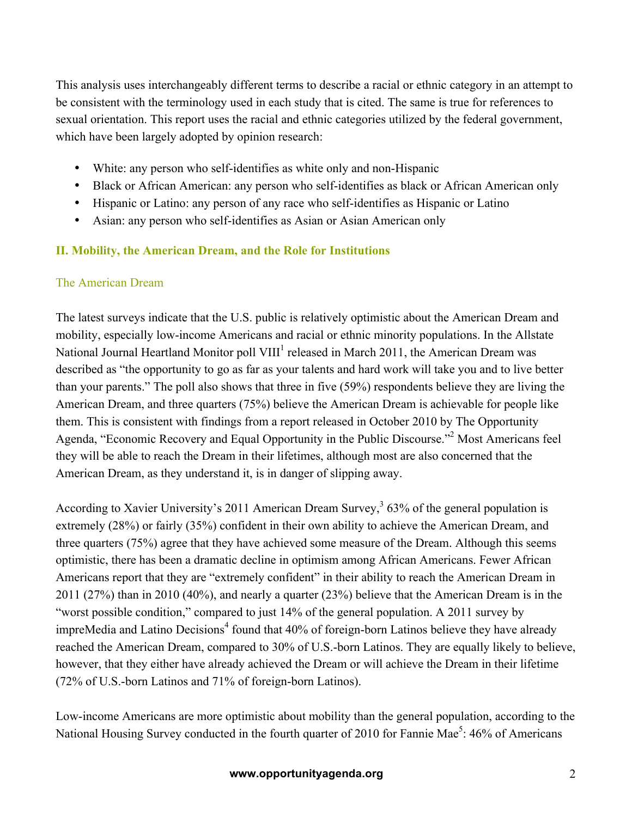This analysis uses interchangeably different terms to describe a racial or ethnic category in an attempt to be consistent with the terminology used in each study that is cited. The same is true for references to sexual orientation. This report uses the racial and ethnic categories utilized by the federal government, which have been largely adopted by opinion research:

- White: any person who self-identifies as white only and non-Hispanic
- Black or African American: any person who self-identifies as black or African American only
- Hispanic or Latino: any person of any race who self-identifies as Hispanic or Latino
- Asian: any person who self-identifies as Asian or Asian American only

#### **II. Mobility, the American Dream, and the Role for Institutions**

#### The American Dream

The latest surveys indicate that the U.S. public is relatively optimistic about the American Dream and mobility, especially low-income Americans and racial or ethnic minority populations. In the Allstate National Journal Heartland Monitor poll VIII<sup>1</sup> released in March 2011, the American Dream was described as "the opportunity to go as far as your talents and hard work will take you and to live better than your parents." The poll also shows that three in five (59%) respondents believe they are living the American Dream, and three quarters (75%) believe the American Dream is achievable for people like them. This is consistent with findings from a report released in October 2010 by The Opportunity Agenda, "Economic Recovery and Equal Opportunity in the Public Discourse."<sup>2</sup> Most Americans feel they will be able to reach the Dream in their lifetimes, although most are also concerned that the American Dream, as they understand it, is in danger of slipping away.

According to Xavier University's 2011 American Dream Survey,<sup>3</sup> 63% of the general population is extremely (28%) or fairly (35%) confident in their own ability to achieve the American Dream, and three quarters (75%) agree that they have achieved some measure of the Dream. Although this seems optimistic, there has been a dramatic decline in optimism among African Americans. Fewer African Americans report that they are "extremely confident" in their ability to reach the American Dream in 2011 (27%) than in 2010 (40%), and nearly a quarter (23%) believe that the American Dream is in the "worst possible condition," compared to just 14% of the general population. A 2011 survey by impreMedia and Latino Decisions<sup>4</sup> found that 40% of foreign-born Latinos believe they have already reached the American Dream, compared to 30% of U.S.-born Latinos. They are equally likely to believe, however, that they either have already achieved the Dream or will achieve the Dream in their lifetime (72% of U.S.-born Latinos and 71% of foreign-born Latinos).

Low-income Americans are more optimistic about mobility than the general population, according to the National Housing Survey conducted in the fourth quarter of 2010 for Fannie Mae<sup>5</sup>: 46% of Americans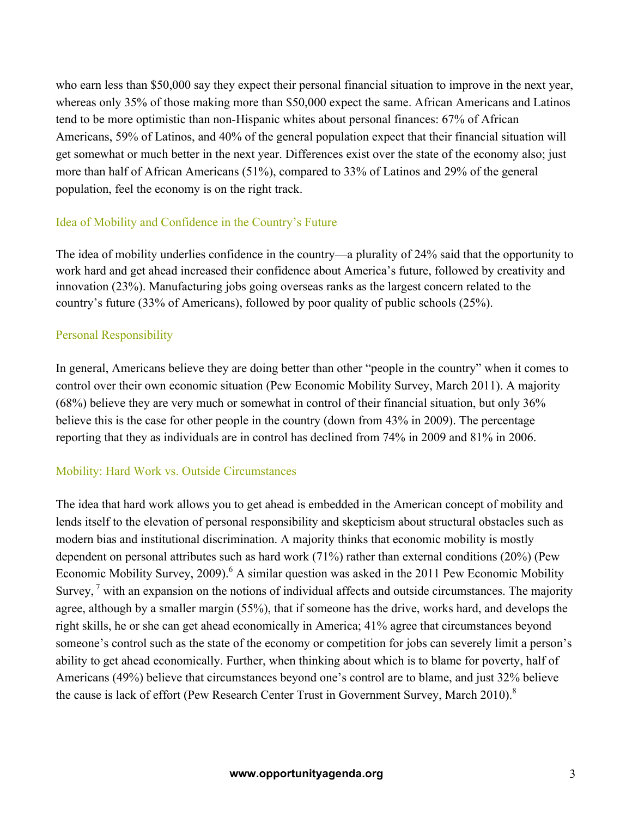who earn less than \$50,000 say they expect their personal financial situation to improve in the next year, whereas only 35% of those making more than \$50,000 expect the same. African Americans and Latinos tend to be more optimistic than non-Hispanic whites about personal finances: 67% of African Americans, 59% of Latinos, and 40% of the general population expect that their financial situation will get somewhat or much better in the next year. Differences exist over the state of the economy also; just more than half of African Americans (51%), compared to 33% of Latinos and 29% of the general population, feel the economy is on the right track.

#### Idea of Mobility and Confidence in the Country's Future

The idea of mobility underlies confidence in the country—a plurality of 24% said that the opportunity to work hard and get ahead increased their confidence about America's future, followed by creativity and innovation (23%). Manufacturing jobs going overseas ranks as the largest concern related to the country's future (33% of Americans), followed by poor quality of public schools (25%).

#### Personal Responsibility

In general, Americans believe they are doing better than other "people in the country" when it comes to control over their own economic situation (Pew Economic Mobility Survey, March 2011). A majority (68%) believe they are very much or somewhat in control of their financial situation, but only 36% believe this is the case for other people in the country (down from 43% in 2009). The percentage reporting that they as individuals are in control has declined from 74% in 2009 and 81% in 2006.

#### Mobility: Hard Work vs. Outside Circumstances

The idea that hard work allows you to get ahead is embedded in the American concept of mobility and lends itself to the elevation of personal responsibility and skepticism about structural obstacles such as modern bias and institutional discrimination. A majority thinks that economic mobility is mostly dependent on personal attributes such as hard work (71%) rather than external conditions (20%) (Pew Economic Mobility Survey, 2009).<sup>6</sup> A similar question was asked in the 2011 Pew Economic Mobility Survey,  $\frac{7}{1}$  with an expansion on the notions of individual affects and outside circumstances. The majority agree, although by a smaller margin (55%), that if someone has the drive, works hard, and develops the right skills, he or she can get ahead economically in America; 41% agree that circumstances beyond someone's control such as the state of the economy or competition for jobs can severely limit a person's ability to get ahead economically. Further, when thinking about which is to blame for poverty, half of Americans (49%) believe that circumstances beyond one's control are to blame, and just 32% believe the cause is lack of effort (Pew Research Center Trust in Government Survey, March 2010).<sup>8</sup>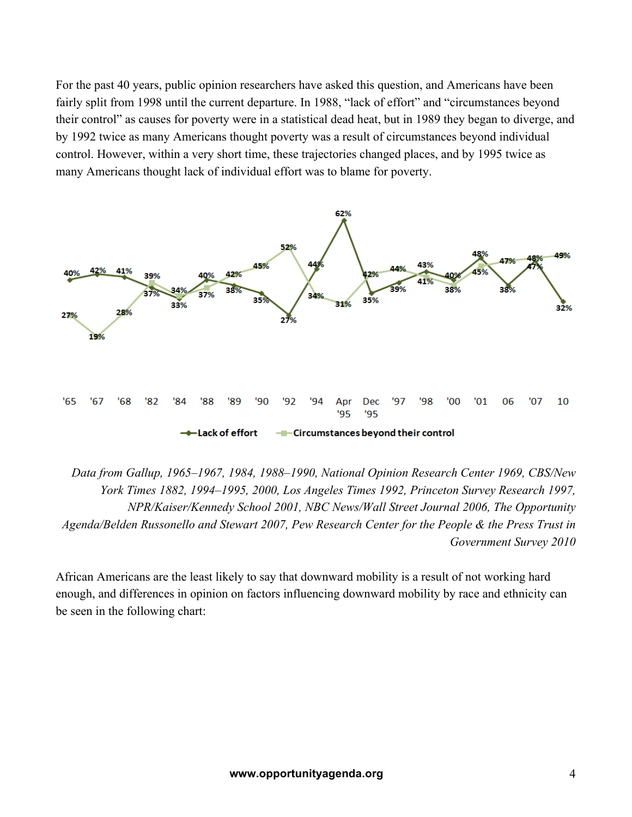For the past 40 years, public opinion researchers have asked this question, and Americans have been fairly split from 1998 until the current departure. In 1988, "lack of effort" and "circumstances beyond their control" as causes for poverty were in a statistical dead heat, but in 1989 they began to diverge, and by 1992 twice as many Americans thought poverty was a result of circumstances beyond individual control. However, within a very short time, these trajectories changed places, and by 1995 twice as many Americans thought lack of individual effort was to blame for poverty.



*Data from Gallup, 1965–1967, 1984, 1988–1990, National Opinion Research Center 1969, CBS/New York Times 1882, 1994–1995, 2000, Los Angeles Times 1992, Princeton Survey Research 1997, NPR/Kaiser/Kennedy School 2001, NBC News/Wall Street Journal 2006, The Opportunity Agenda/Belden Russonello and Stewart 2007, Pew Research Center for the People & the Press Trust in Government Survey 2010*

African Americans are the least likely to say that downward mobility is a result of not working hard enough, and differences in opinion on factors influencing downward mobility by race and ethnicity can be seen in the following chart: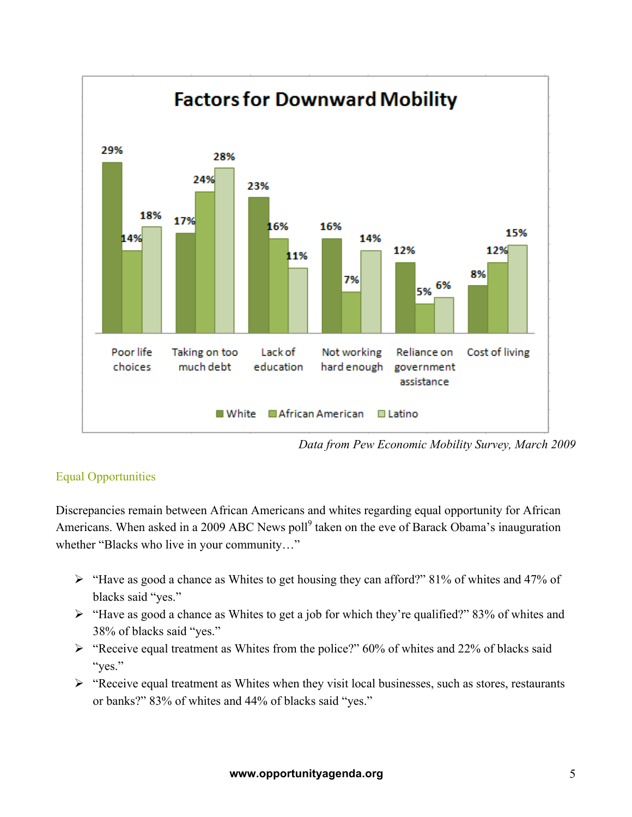

*Data from Pew Economic Mobility Survey, March 2009*

## Equal Opportunities

Discrepancies remain between African Americans and whites regarding equal opportunity for African Americans. When asked in a 2009 ABC News poll<sup>9</sup> taken on the eve of Barack Obama's inauguration whether "Blacks who live in your community…"

- ! "Have as good a chance as Whites to get housing they can afford?" 81% of whites and 47% of blacks said "yes."
- $\triangleright$  "Have as good a chance as Whites to get a job for which they're qualified?" 83% of whites and 38% of blacks said "yes."
- $\triangleright$  "Receive equal treatment as Whites from the police?" 60% of whites and 22% of blacks said "yes."
- $\triangleright$  "Receive equal treatment as Whites when they visit local businesses, such as stores, restaurants or banks?" 83% of whites and 44% of blacks said "yes."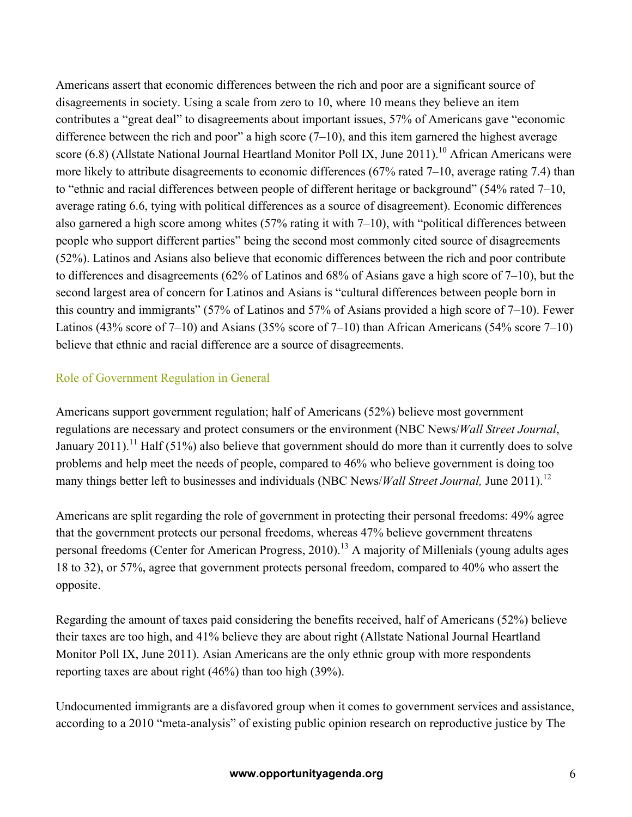Americans assert that economic differences between the rich and poor are a significant source of disagreements in society. Using a scale from zero to 10, where 10 means they believe an item contributes a "great deal" to disagreements about important issues, 57% of Americans gave "economic difference between the rich and poor" a high score  $(7-10)$ , and this item garnered the highest average score (6.8) (Allstate National Journal Heartland Monitor Poll IX, June 2011).<sup>10</sup> African Americans were more likely to attribute disagreements to economic differences (67% rated 7–10, average rating 7.4) than to "ethnic and racial differences between people of different heritage or background" (54% rated 7–10, average rating 6.6, tying with political differences as a source of disagreement). Economic differences also garnered a high score among whites (57% rating it with 7–10), with "political differences between people who support different parties" being the second most commonly cited source of disagreements (52%). Latinos and Asians also believe that economic differences between the rich and poor contribute to differences and disagreements (62% of Latinos and 68% of Asians gave a high score of 7–10), but the second largest area of concern for Latinos and Asians is "cultural differences between people born in this country and immigrants" (57% of Latinos and 57% of Asians provided a high score of 7–10). Fewer Latinos (43% score of 7–10) and Asians (35% score of 7–10) than African Americans (54% score 7–10) believe that ethnic and racial difference are a source of disagreements.

## Role of Government Regulation in General

Americans support government regulation; half of Americans (52%) believe most government regulations are necessary and protect consumers or the environment (NBC News/*Wall Street Journal*, January 2011).<sup>11</sup> Half (51%) also believe that government should do more than it currently does to solve problems and help meet the needs of people, compared to 46% who believe government is doing too many things better left to businesses and individuals (NBC News/*Wall Street Journal,* June 2011). 12

Americans are split regarding the role of government in protecting their personal freedoms: 49% agree that the government protects our personal freedoms, whereas 47% believe government threatens personal freedoms (Center for American Progress, 2010).<sup>13</sup> A majority of Millenials (young adults ages 18 to 32), or 57%, agree that government protects personal freedom, compared to 40% who assert the opposite.

Regarding the amount of taxes paid considering the benefits received, half of Americans (52%) believe their taxes are too high, and 41% believe they are about right (Allstate National Journal Heartland Monitor Poll IX, June 2011). Asian Americans are the only ethnic group with more respondents reporting taxes are about right (46%) than too high (39%).

Undocumented immigrants are a disfavored group when it comes to government services and assistance, according to a 2010 "meta-analysis" of existing public opinion research on reproductive justice by The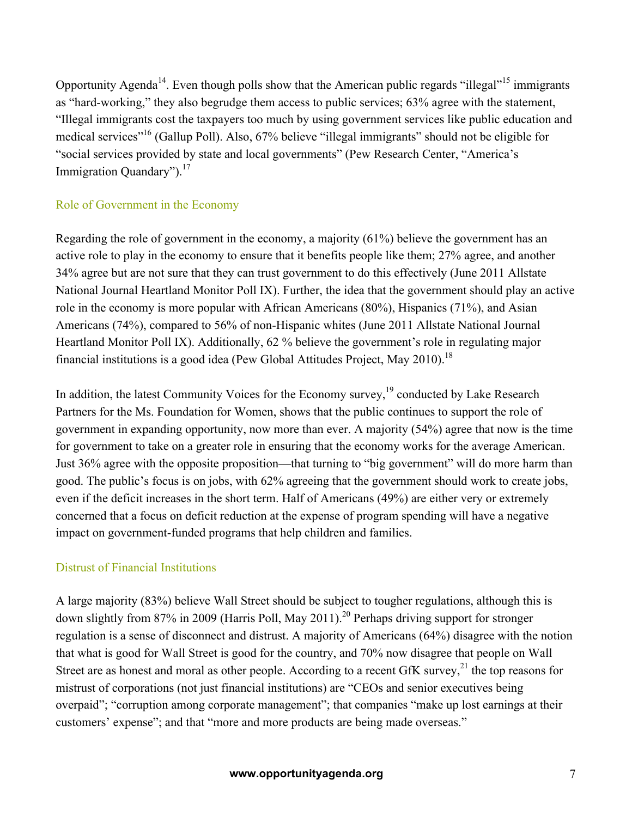Opportunity Agenda<sup>14</sup>. Even though polls show that the American public regards "illegal"<sup>15</sup> immigrants as "hard-working," they also begrudge them access to public services; 63% agree with the statement, "Illegal immigrants cost the taxpayers too much by using government services like public education and medical services"16 (Gallup Poll). Also, 67% believe "illegal immigrants" should not be eligible for "social services provided by state and local governments" (Pew Research Center, "America's Immigration Quandary"). $17$ 

#### Role of Government in the Economy

Regarding the role of government in the economy, a majority (61%) believe the government has an active role to play in the economy to ensure that it benefits people like them; 27% agree, and another 34% agree but are not sure that they can trust government to do this effectively (June 2011 Allstate National Journal Heartland Monitor Poll IX). Further, the idea that the government should play an active role in the economy is more popular with African Americans (80%), Hispanics (71%), and Asian Americans (74%), compared to 56% of non-Hispanic whites (June 2011 Allstate National Journal Heartland Monitor Poll IX). Additionally, 62 % believe the government's role in regulating major financial institutions is a good idea (Pew Global Attitudes Project, May 2010).<sup>18</sup>

In addition, the latest Community Voices for the Economy survey,<sup>19</sup> conducted by Lake Research Partners for the Ms. Foundation for Women, shows that the public continues to support the role of government in expanding opportunity, now more than ever. A majority (54%) agree that now is the time for government to take on a greater role in ensuring that the economy works for the average American. Just 36% agree with the opposite proposition—that turning to "big government" will do more harm than good. The public's focus is on jobs, with 62% agreeing that the government should work to create jobs, even if the deficit increases in the short term. Half of Americans (49%) are either very or extremely concerned that a focus on deficit reduction at the expense of program spending will have a negative impact on government-funded programs that help children and families.

#### Distrust of Financial Institutions

A large majority (83%) believe Wall Street should be subject to tougher regulations, although this is down slightly from 87% in 2009 (Harris Poll, May 2011).<sup>20</sup> Perhaps driving support for stronger regulation is a sense of disconnect and distrust. A majority of Americans (64%) disagree with the notion that what is good for Wall Street is good for the country, and 70% now disagree that people on Wall Street are as honest and moral as other people. According to a recent GfK survey, $^{21}$  the top reasons for mistrust of corporations (not just financial institutions) are "CEOs and senior executives being overpaid"; "corruption among corporate management"; that companies "make up lost earnings at their customers' expense"; and that "more and more products are being made overseas."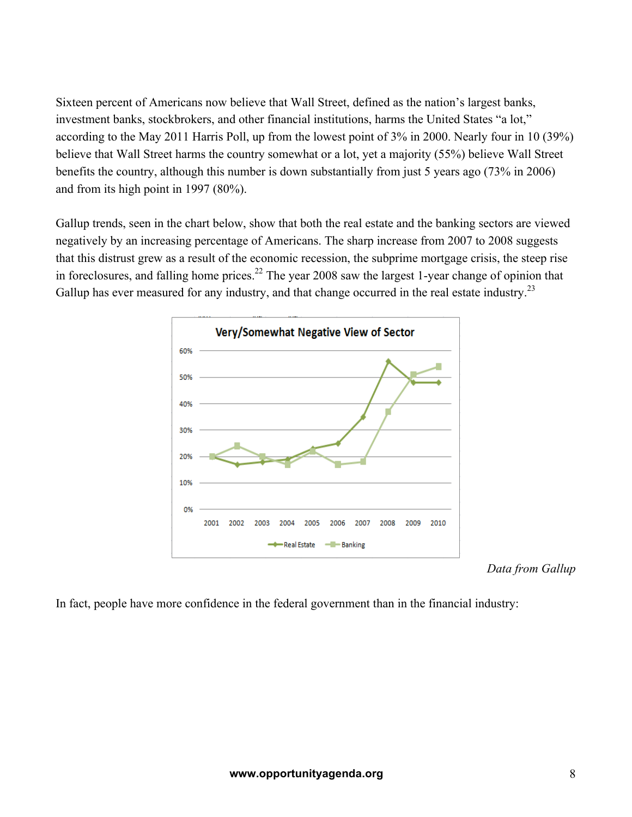Sixteen percent of Americans now believe that Wall Street, defined as the nation's largest banks, investment banks, stockbrokers, and other financial institutions, harms the United States "a lot," according to the May 2011 Harris Poll, up from the lowest point of 3% in 2000. Nearly four in 10 (39%) believe that Wall Street harms the country somewhat or a lot, yet a majority (55%) believe Wall Street benefits the country, although this number is down substantially from just 5 years ago (73% in 2006) and from its high point in 1997 (80%).

Gallup trends, seen in the chart below, show that both the real estate and the banking sectors are viewed negatively by an increasing percentage of Americans. The sharp increase from 2007 to 2008 suggests that this distrust grew as a result of the economic recession, the subprime mortgage crisis, the steep rise in foreclosures, and falling home prices.<sup>22</sup> The year 2008 saw the largest 1-year change of opinion that Gallup has ever measured for any industry, and that change occurred in the real estate industry.<sup>23</sup>



*Data from Gallup*

In fact, people have more confidence in the federal government than in the financial industry: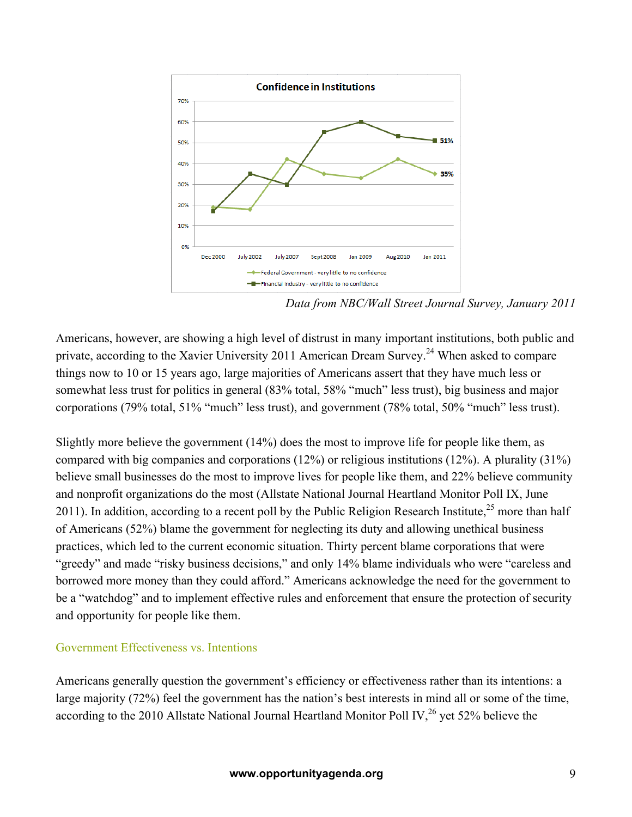

*Data from NBC/Wall Street Journal Survey, January 2011*

Americans, however, are showing a high level of distrust in many important institutions, both public and private, according to the Xavier University 2011 American Dream Survey.<sup>24</sup> When asked to compare things now to 10 or 15 years ago, large majorities of Americans assert that they have much less or somewhat less trust for politics in general (83% total, 58% "much" less trust), big business and major corporations (79% total, 51% "much" less trust), and government (78% total, 50% "much" less trust).

Slightly more believe the government (14%) does the most to improve life for people like them, as compared with big companies and corporations (12%) or religious institutions (12%). A plurality (31%) believe small businesses do the most to improve lives for people like them, and 22% believe community and nonprofit organizations do the most (Allstate National Journal Heartland Monitor Poll IX, June 2011). In addition, according to a recent poll by the Public Religion Research Institute,  $2^5$  more than half of Americans (52%) blame the government for neglecting its duty and allowing unethical business practices, which led to the current economic situation. Thirty percent blame corporations that were "greedy" and made "risky business decisions," and only 14% blame individuals who were "careless and borrowed more money than they could afford." Americans acknowledge the need for the government to be a "watchdog" and to implement effective rules and enforcement that ensure the protection of security and opportunity for people like them.

#### Government Effectiveness vs. Intentions

Americans generally question the government's efficiency or effectiveness rather than its intentions: a large majority (72%) feel the government has the nation's best interests in mind all or some of the time, according to the 2010 Allstate National Journal Heartland Monitor Poll IV, $^{26}$  yet 52% believe the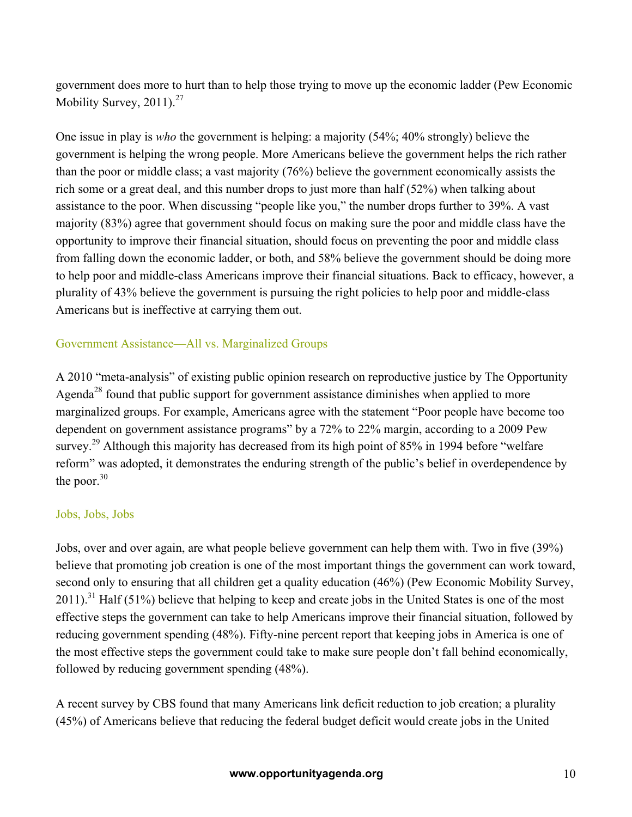government does more to hurt than to help those trying to move up the economic ladder (Pew Economic Mobility Survey, 2011).<sup>27</sup>

One issue in play is *who* the government is helping: a majority (54%; 40% strongly) believe the government is helping the wrong people. More Americans believe the government helps the rich rather than the poor or middle class; a vast majority (76%) believe the government economically assists the rich some or a great deal, and this number drops to just more than half (52%) when talking about assistance to the poor. When discussing "people like you," the number drops further to 39%. A vast majority (83%) agree that government should focus on making sure the poor and middle class have the opportunity to improve their financial situation, should focus on preventing the poor and middle class from falling down the economic ladder, or both, and 58% believe the government should be doing more to help poor and middle-class Americans improve their financial situations. Back to efficacy, however, a plurality of 43% believe the government is pursuing the right policies to help poor and middle-class Americans but is ineffective at carrying them out.

#### Government Assistance—All vs. Marginalized Groups

A 2010 "meta-analysis" of existing public opinion research on reproductive justice by The Opportunity Agenda<sup>28</sup> found that public support for government assistance diminishes when applied to more marginalized groups. For example, Americans agree with the statement "Poor people have become too dependent on government assistance programs" by a 72% to 22% margin, according to a 2009 Pew survey.<sup>29</sup> Although this majority has decreased from its high point of 85% in 1994 before "welfare" reform" was adopted, it demonstrates the enduring strength of the public's belief in overdependence by the poor. $30$ 

#### Jobs, Jobs, Jobs

Jobs, over and over again, are what people believe government can help them with. Two in five (39%) believe that promoting job creation is one of the most important things the government can work toward, second only to ensuring that all children get a quality education (46%) (Pew Economic Mobility Survey,  $2011$ ).<sup>31</sup> Half (51%) believe that helping to keep and create jobs in the United States is one of the most effective steps the government can take to help Americans improve their financial situation, followed by reducing government spending (48%). Fifty-nine percent report that keeping jobs in America is one of the most effective steps the government could take to make sure people don't fall behind economically, followed by reducing government spending (48%).

A recent survey by CBS found that many Americans link deficit reduction to job creation; a plurality (45%) of Americans believe that reducing the federal budget deficit would create jobs in the United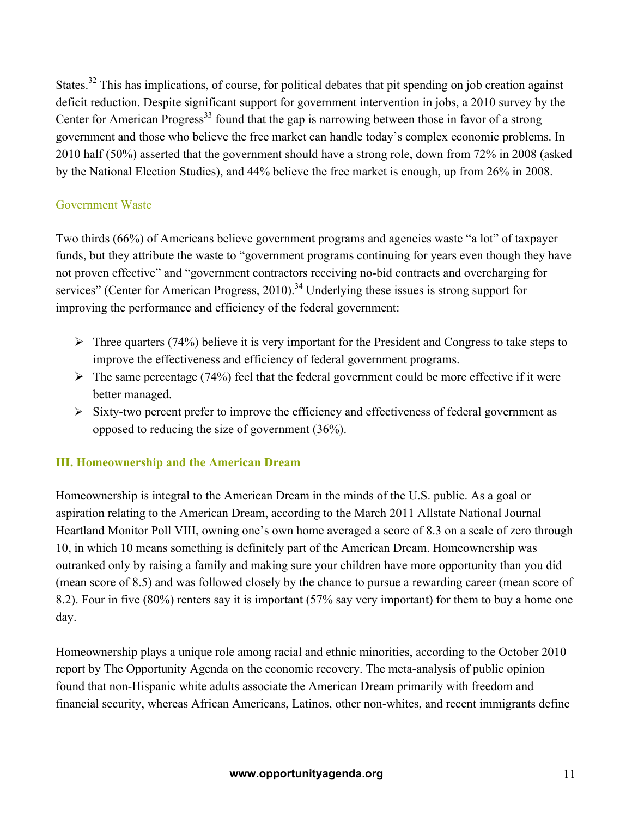States.<sup>32</sup> This has implications, of course, for political debates that pit spending on job creation against deficit reduction. Despite significant support for government intervention in jobs, a 2010 survey by the Center for American Progress<sup>33</sup> found that the gap is narrowing between those in favor of a strong government and those who believe the free market can handle today's complex economic problems. In 2010 half (50%) asserted that the government should have a strong role, down from 72% in 2008 (asked by the National Election Studies), and 44% believe the free market is enough, up from 26% in 2008.

#### Government Waste

Two thirds (66%) of Americans believe government programs and agencies waste "a lot" of taxpayer funds, but they attribute the waste to "government programs continuing for years even though they have not proven effective" and "government contractors receiving no-bid contracts and overcharging for services" (Center for American Progress, 2010).<sup>34</sup> Underlying these issues is strong support for improving the performance and efficiency of the federal government:

- $\triangleright$  Three quarters (74%) believe it is very important for the President and Congress to take steps to improve the effectiveness and efficiency of federal government programs.
- $\triangleright$  The same percentage (74%) feel that the federal government could be more effective if it were better managed.
- $\triangleright$  Sixty-two percent prefer to improve the efficiency and effectiveness of federal government as opposed to reducing the size of government (36%).

#### **III. Homeownership and the American Dream**

Homeownership is integral to the American Dream in the minds of the U.S. public. As a goal or aspiration relating to the American Dream, according to the March 2011 Allstate National Journal Heartland Monitor Poll VIII, owning one's own home averaged a score of 8.3 on a scale of zero through 10, in which 10 means something is definitely part of the American Dream. Homeownership was outranked only by raising a family and making sure your children have more opportunity than you did (mean score of 8.5) and was followed closely by the chance to pursue a rewarding career (mean score of 8.2). Four in five (80%) renters say it is important (57% say very important) for them to buy a home one day.

Homeownership plays a unique role among racial and ethnic minorities, according to the October 2010 report by The Opportunity Agenda on the economic recovery. The meta-analysis of public opinion found that non-Hispanic white adults associate the American Dream primarily with freedom and financial security, whereas African Americans, Latinos, other non-whites, and recent immigrants define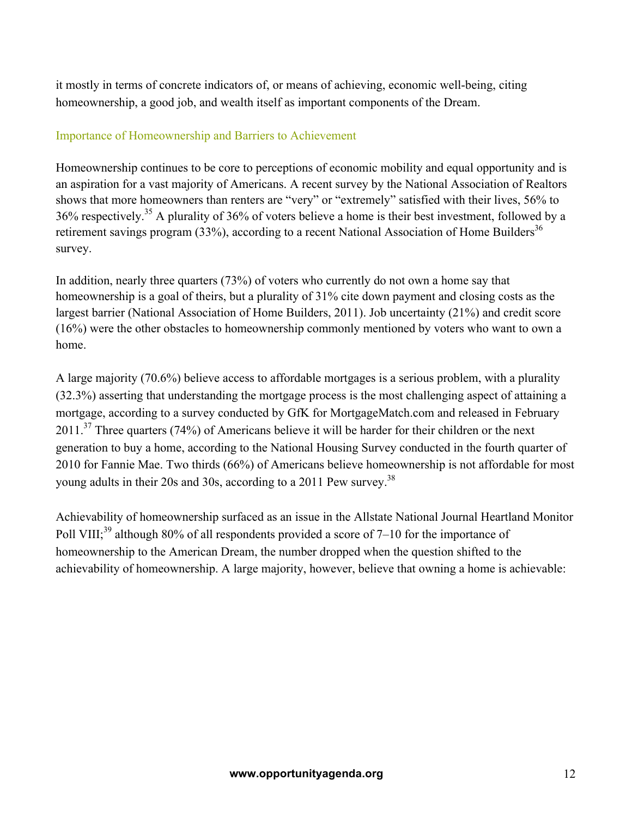it mostly in terms of concrete indicators of, or means of achieving, economic well-being, citing homeownership, a good job, and wealth itself as important components of the Dream.

#### Importance of Homeownership and Barriers to Achievement

Homeownership continues to be core to perceptions of economic mobility and equal opportunity and is an aspiration for a vast majority of Americans. A recent survey by the National Association of Realtors shows that more homeowners than renters are "very" or "extremely" satisfied with their lives, 56% to 36% respectively.35 A plurality of 36% of voters believe a home is their best investment, followed by a retirement savings program  $(33%)$ , according to a recent National Association of Home Builders<sup>36</sup> survey.

In addition, nearly three quarters (73%) of voters who currently do not own a home say that homeownership is a goal of theirs, but a plurality of 31% cite down payment and closing costs as the largest barrier (National Association of Home Builders, 2011). Job uncertainty (21%) and credit score (16%) were the other obstacles to homeownership commonly mentioned by voters who want to own a home.

A large majority (70.6%) believe access to affordable mortgages is a serious problem, with a plurality (32.3%) asserting that understanding the mortgage process is the most challenging aspect of attaining a mortgage, according to a survey conducted by GfK for MortgageMatch.com and released in February  $2011$ <sup>37</sup> Three quarters (74%) of Americans believe it will be harder for their children or the next generation to buy a home, according to the National Housing Survey conducted in the fourth quarter of 2010 for Fannie Mae. Two thirds (66%) of Americans believe homeownership is not affordable for most young adults in their 20s and 30s, according to a 2011 Pew survey.<sup>38</sup>

Achievability of homeownership surfaced as an issue in the Allstate National Journal Heartland Monitor Poll VIII;<sup>39</sup> although 80% of all respondents provided a score of 7–10 for the importance of homeownership to the American Dream, the number dropped when the question shifted to the achievability of homeownership. A large majority, however, believe that owning a home is achievable: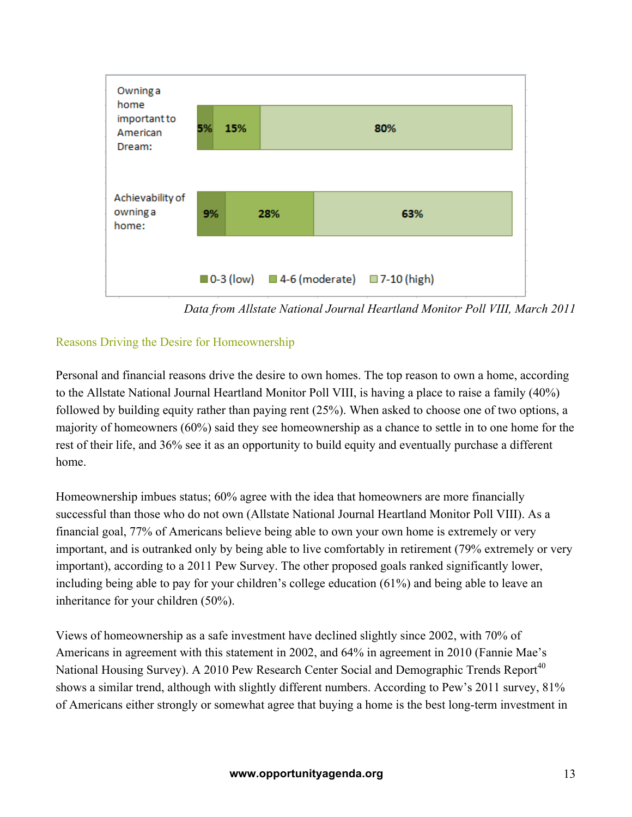

*Data from Allstate National Journal Heartland Monitor Poll VIII, March 2011*

## Reasons Driving the Desire for Homeownership

Personal and financial reasons drive the desire to own homes. The top reason to own a home, according to the Allstate National Journal Heartland Monitor Poll VIII, is having a place to raise a family (40%) followed by building equity rather than paying rent (25%). When asked to choose one of two options, a majority of homeowners (60%) said they see homeownership as a chance to settle in to one home for the rest of their life, and 36% see it as an opportunity to build equity and eventually purchase a different home.

Homeownership imbues status; 60% agree with the idea that homeowners are more financially successful than those who do not own (Allstate National Journal Heartland Monitor Poll VIII). As a financial goal, 77% of Americans believe being able to own your own home is extremely or very important, and is outranked only by being able to live comfortably in retirement (79% extremely or very important), according to a 2011 Pew Survey. The other proposed goals ranked significantly lower, including being able to pay for your children's college education (61%) and being able to leave an inheritance for your children (50%).

Views of homeownership as a safe investment have declined slightly since 2002, with 70% of Americans in agreement with this statement in 2002, and 64% in agreement in 2010 (Fannie Mae's National Housing Survey). A 2010 Pew Research Center Social and Demographic Trends Report<sup>40</sup> shows a similar trend, although with slightly different numbers. According to Pew's 2011 survey, 81% of Americans either strongly or somewhat agree that buying a home is the best long-term investment in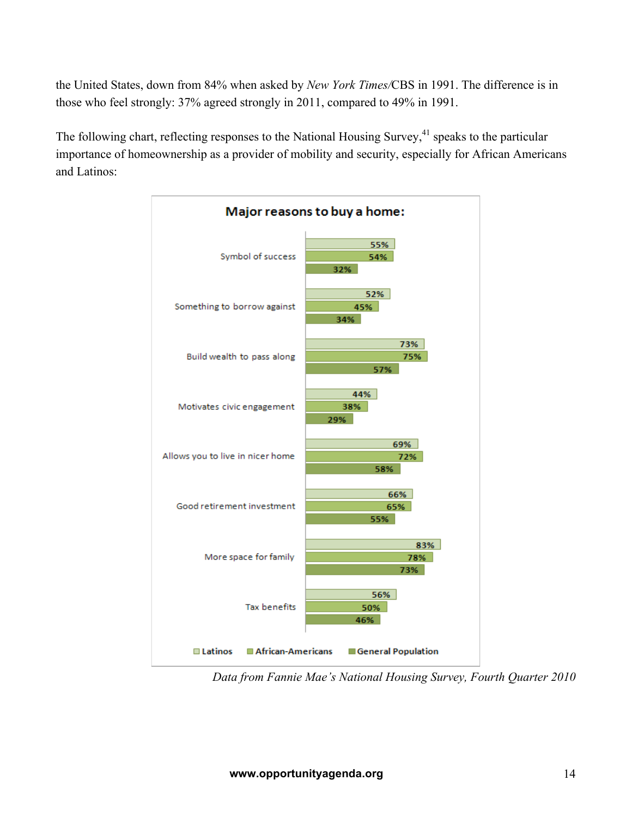the United States, down from 84% when asked by *New York Times/*CBS in 1991. The difference is in those who feel strongly: 37% agreed strongly in 2011, compared to 49% in 1991.

The following chart, reflecting responses to the National Housing Survey,<sup>41</sup> speaks to the particular importance of homeownership as a provider of mobility and security, especially for African Americans and Latinos:



*Data from Fannie Mae's National Housing Survey, Fourth Quarter 2010*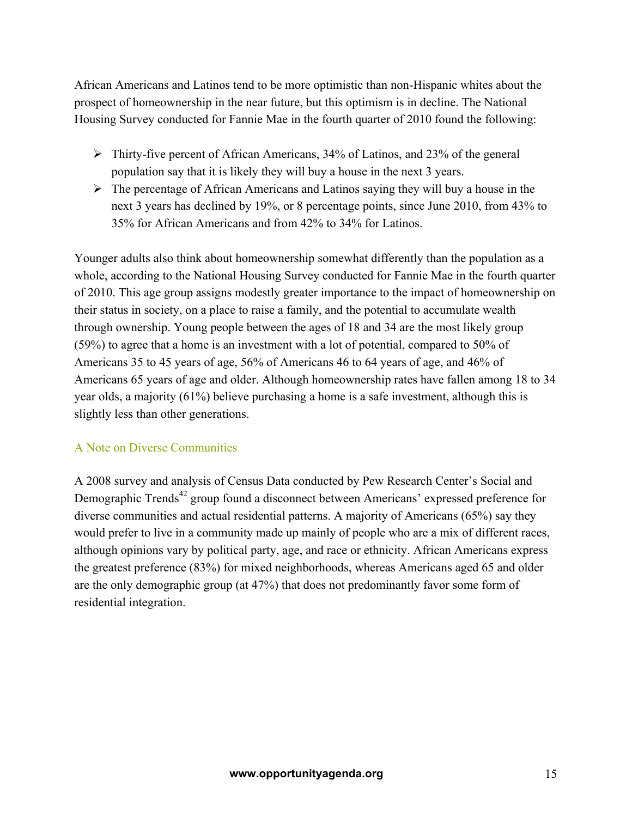African Americans and Latinos tend to be more optimistic than non-Hispanic whites about the prospect of homeownership in the near future, but this optimism is in decline. The National Housing Survey conducted for Fannie Mae in the fourth quarter of 2010 found the following:

- $\triangleright$  Thirty-five percent of African Americans, 34% of Latinos, and 23% of the general population say that it is likely they will buy a house in the next 3 years.
- $\triangleright$  The percentage of African Americans and Latinos saying they will buy a house in the next 3 years has declined by 19%, or 8 percentage points, since June 2010, from 43% to 35% for African Americans and from 42% to 34% for Latinos.

Younger adults also think about homeownership somewhat differently than the population as a whole, according to the National Housing Survey conducted for Fannie Mae in the fourth quarter of 2010. This age group assigns modestly greater importance to the impact of homeownership on their status in society, on a place to raise a family, and the potential to accumulate wealth through ownership. Young people between the ages of 18 and 34 are the most likely group (59%) to agree that a home is an investment with a lot of potential, compared to 50% of Americans 35 to 45 years of age, 56% of Americans 46 to 64 years of age, and 46% of Americans 65 years of age and older. Although homeownership rates have fallen among 18 to 34 year olds, a majority (61%) believe purchasing a home is a safe investment, although this is slightly less than other generations.

#### A Note on Diverse Communities

A 2008 survey and analysis of Census Data conducted by Pew Research Center's Social and Demographic Trends<sup>42</sup> group found a disconnect between Americans' expressed preference for diverse communities and actual residential patterns. A majority of Americans (65%) say they would prefer to live in a community made up mainly of people who are a mix of different races, although opinions vary by political party, age, and race or ethnicity. African Americans express the greatest preference (83%) for mixed neighborhoods, whereas Americans aged 65 and older are the only demographic group (at 47%) that does not predominantly favor some form of residential integration.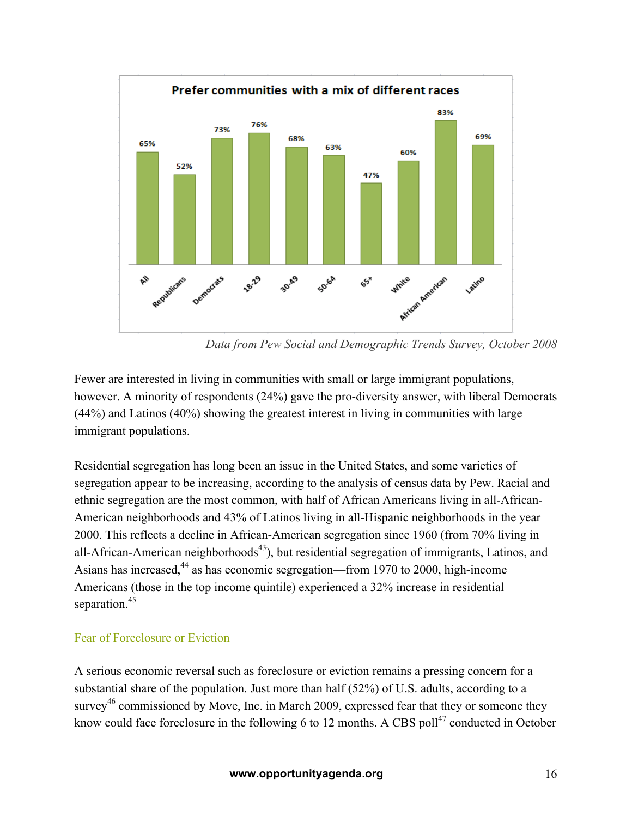

*Data from Pew Social and Demographic Trends Survey, October 2008*

Fewer are interested in living in communities with small or large immigrant populations, however. A minority of respondents (24%) gave the pro-diversity answer, with liberal Democrats (44%) and Latinos (40%) showing the greatest interest in living in communities with large immigrant populations.

Residential segregation has long been an issue in the United States, and some varieties of segregation appear to be increasing, according to the analysis of census data by Pew. Racial and ethnic segregation are the most common, with half of African Americans living in all-African-American neighborhoods and 43% of Latinos living in all-Hispanic neighborhoods in the year 2000. This reflects a decline in African-American segregation since 1960 (from 70% living in all-African-American neighborhoods<sup> $43$ </sup>), but residential segregation of immigrants, Latinos, and Asians has increased,<sup>44</sup> as has economic segregation—from 1970 to 2000, high-income Americans (those in the top income quintile) experienced a 32% increase in residential separation. 45

#### Fear of Foreclosure or Eviction

A serious economic reversal such as foreclosure or eviction remains a pressing concern for a substantial share of the population. Just more than half (52%) of U.S. adults, according to a survey<sup>46</sup> commissioned by Move, Inc. in March 2009, expressed fear that they or someone they know could face foreclosure in the following 6 to 12 months. A CBS poll $^{47}$  conducted in October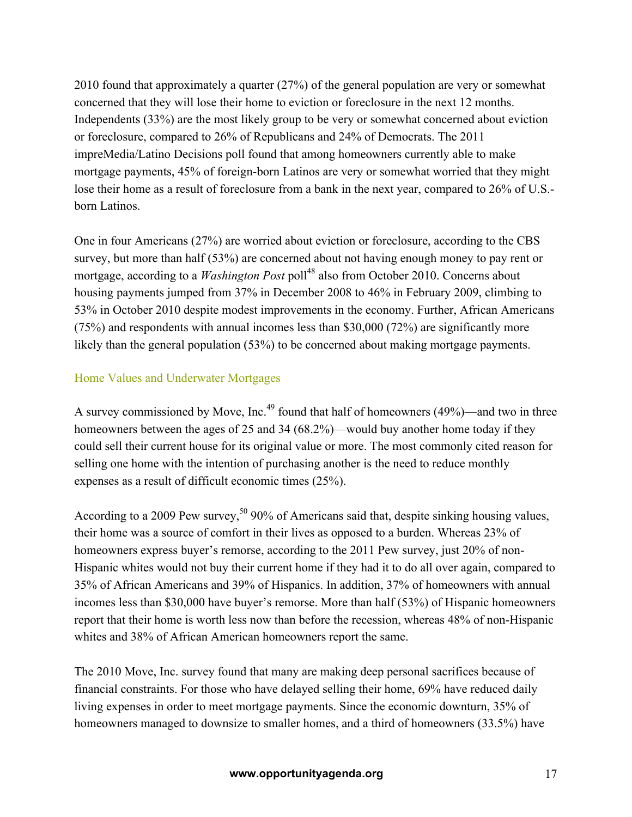2010 found that approximately a quarter (27%) of the general population are very or somewhat concerned that they will lose their home to eviction or foreclosure in the next 12 months. Independents (33%) are the most likely group to be very or somewhat concerned about eviction or foreclosure, compared to 26% of Republicans and 24% of Democrats. The 2011 impreMedia/Latino Decisions poll found that among homeowners currently able to make mortgage payments, 45% of foreign-born Latinos are very or somewhat worried that they might lose their home as a result of foreclosure from a bank in the next year, compared to 26% of U.S. born Latinos.

One in four Americans (27%) are worried about eviction or foreclosure, according to the CBS survey, but more than half (53%) are concerned about not having enough money to pay rent or mortgage, according to a *Washington Post* poll<sup>48</sup> also from October 2010. Concerns about housing payments jumped from 37% in December 2008 to 46% in February 2009, climbing to 53% in October 2010 despite modest improvements in the economy. Further, African Americans (75%) and respondents with annual incomes less than \$30,000 (72%) are significantly more likely than the general population (53%) to be concerned about making mortgage payments.

#### Home Values and Underwater Mortgages

A survey commissioned by Move, Inc.<sup>49</sup> found that half of homeowners (49%)—and two in three homeowners between the ages of 25 and 34 (68.2%)—would buy another home today if they could sell their current house for its original value or more. The most commonly cited reason for selling one home with the intention of purchasing another is the need to reduce monthly expenses as a result of difficult economic times (25%).

According to a 2009 Pew survey,<sup>50</sup> 90% of Americans said that, despite sinking housing values, their home was a source of comfort in their lives as opposed to a burden. Whereas 23% of homeowners express buyer's remorse, according to the 2011 Pew survey, just 20% of non-Hispanic whites would not buy their current home if they had it to do all over again, compared to 35% of African Americans and 39% of Hispanics. In addition, 37% of homeowners with annual incomes less than \$30,000 have buyer's remorse. More than half (53%) of Hispanic homeowners report that their home is worth less now than before the recession, whereas 48% of non-Hispanic whites and 38% of African American homeowners report the same.

The 2010 Move, Inc. survey found that many are making deep personal sacrifices because of financial constraints. For those who have delayed selling their home, 69% have reduced daily living expenses in order to meet mortgage payments. Since the economic downturn, 35% of homeowners managed to downsize to smaller homes, and a third of homeowners (33.5%) have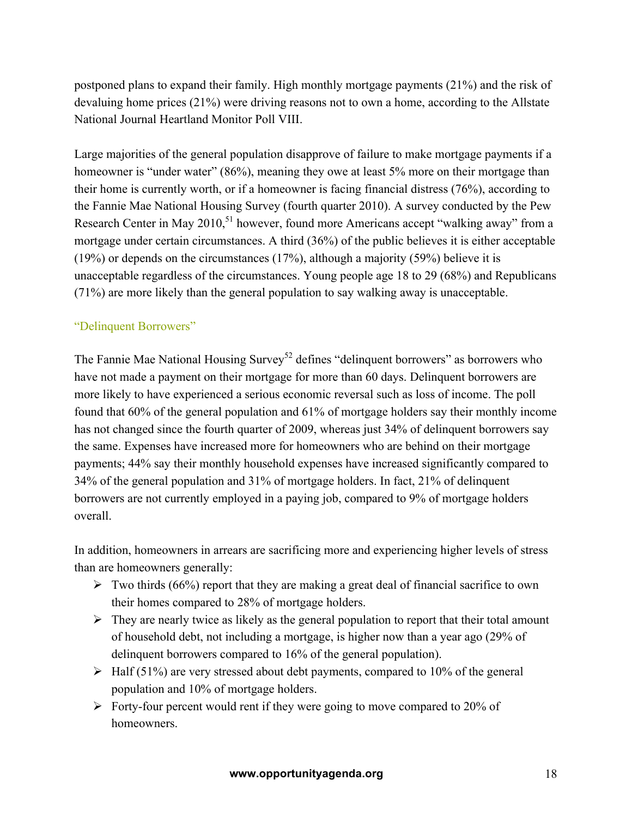postponed plans to expand their family. High monthly mortgage payments (21%) and the risk of devaluing home prices (21%) were driving reasons not to own a home, according to the Allstate National Journal Heartland Monitor Poll VIII.

Large majorities of the general population disapprove of failure to make mortgage payments if a homeowner is "under water" (86%), meaning they owe at least 5% more on their mortgage than their home is currently worth, or if a homeowner is facing financial distress (76%), according to the Fannie Mae National Housing Survey (fourth quarter 2010). A survey conducted by the Pew Research Center in May 2010,<sup>51</sup> however, found more Americans accept "walking away" from a mortgage under certain circumstances. A third (36%) of the public believes it is either acceptable (19%) or depends on the circumstances (17%), although a majority (59%) believe it is unacceptable regardless of the circumstances. Young people age 18 to 29 (68%) and Republicans (71%) are more likely than the general population to say walking away is unacceptable.

#### "Delinquent Borrowers"

The Fannie Mae National Housing Survey<sup>52</sup> defines "delinquent borrowers" as borrowers who have not made a payment on their mortgage for more than 60 days. Delinquent borrowers are more likely to have experienced a serious economic reversal such as loss of income. The poll found that 60% of the general population and 61% of mortgage holders say their monthly income has not changed since the fourth quarter of 2009, whereas just 34% of delinquent borrowers say the same. Expenses have increased more for homeowners who are behind on their mortgage payments; 44% say their monthly household expenses have increased significantly compared to 34% of the general population and 31% of mortgage holders. In fact, 21% of delinquent borrowers are not currently employed in a paying job, compared to 9% of mortgage holders overall.

In addition, homeowners in arrears are sacrificing more and experiencing higher levels of stress than are homeowners generally:

- $\triangleright$  Two thirds (66%) report that they are making a great deal of financial sacrifice to own their homes compared to 28% of mortgage holders.
- $\triangleright$  They are nearly twice as likely as the general population to report that their total amount of household debt, not including a mortgage, is higher now than a year ago (29% of delinquent borrowers compared to 16% of the general population).
- $\triangleright$  Half (51%) are very stressed about debt payments, compared to 10% of the general population and 10% of mortgage holders.
- $\triangleright$  Forty-four percent would rent if they were going to move compared to 20% of homeowners.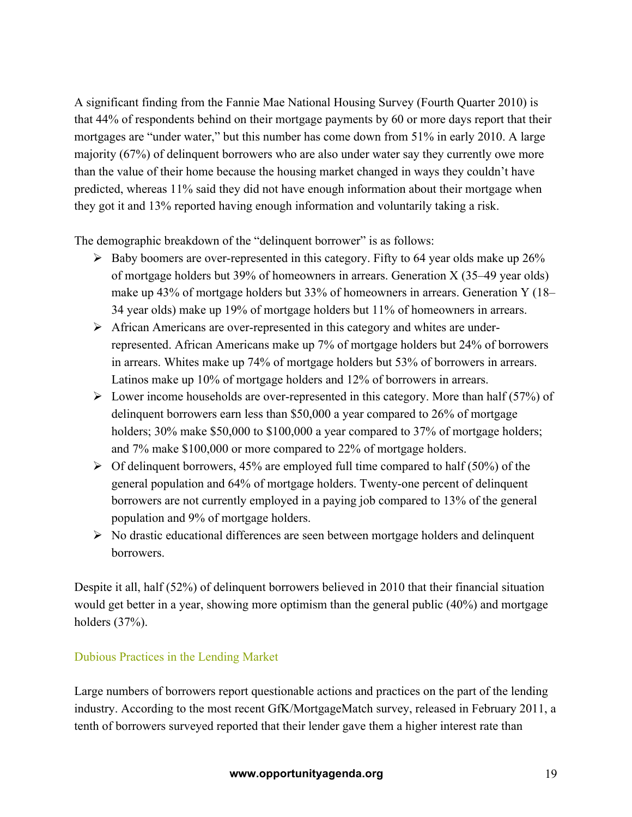A significant finding from the Fannie Mae National Housing Survey (Fourth Quarter 2010) is that 44% of respondents behind on their mortgage payments by 60 or more days report that their mortgages are "under water," but this number has come down from 51% in early 2010. A large majority (67%) of delinquent borrowers who are also under water say they currently owe more than the value of their home because the housing market changed in ways they couldn't have predicted, whereas 11% said they did not have enough information about their mortgage when they got it and 13% reported having enough information and voluntarily taking a risk.

The demographic breakdown of the "delinquent borrower" is as follows:

- $\triangleright$  Baby boomers are over-represented in this category. Fifty to 64 year olds make up 26% of mortgage holders but 39% of homeowners in arrears. Generation X (35–49 year olds) make up 43% of mortgage holders but 33% of homeowners in arrears. Generation Y (18– 34 year olds) make up 19% of mortgage holders but 11% of homeowners in arrears.
- $\triangleright$  African Americans are over-represented in this category and whites are underrepresented. African Americans make up 7% of mortgage holders but 24% of borrowers in arrears. Whites make up 74% of mortgage holders but 53% of borrowers in arrears. Latinos make up 10% of mortgage holders and 12% of borrowers in arrears.
- $\triangleright$  Lower income households are over-represented in this category. More than half (57%) of delinquent borrowers earn less than \$50,000 a year compared to 26% of mortgage holders; 30% make \$50,000 to \$100,000 a year compared to 37% of mortgage holders; and 7% make \$100,000 or more compared to 22% of mortgage holders.
- $\triangleright$  Of delinquent borrowers, 45% are employed full time compared to half (50%) of the general population and 64% of mortgage holders. Twenty-one percent of delinquent borrowers are not currently employed in a paying job compared to 13% of the general population and 9% of mortgage holders.
- $\triangleright$  No drastic educational differences are seen between mortgage holders and delinquent borrowers.

Despite it all, half (52%) of delinquent borrowers believed in 2010 that their financial situation would get better in a year, showing more optimism than the general public (40%) and mortgage holders (37%).

## Dubious Practices in the Lending Market

Large numbers of borrowers report questionable actions and practices on the part of the lending industry. According to the most recent GfK/MortgageMatch survey, released in February 2011, a tenth of borrowers surveyed reported that their lender gave them a higher interest rate than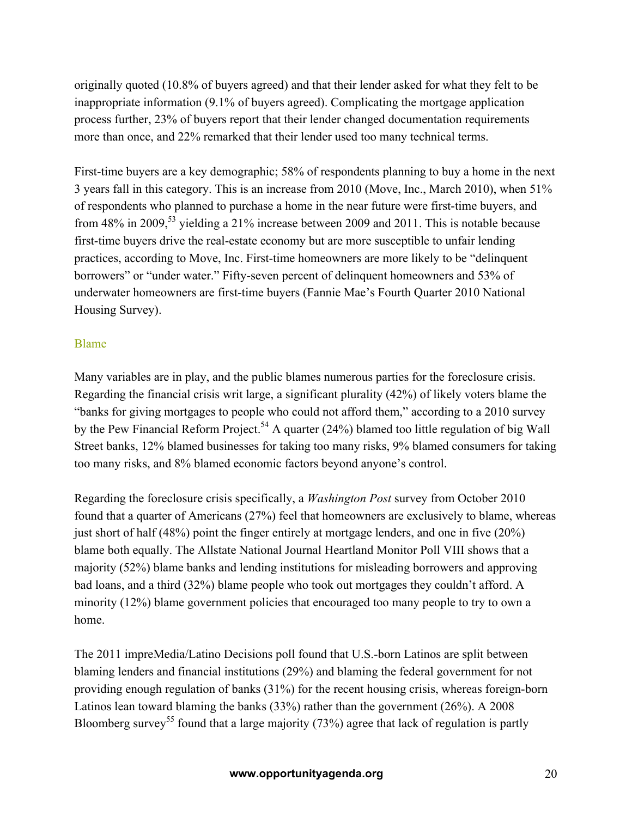originally quoted (10.8% of buyers agreed) and that their lender asked for what they felt to be inappropriate information (9.1% of buyers agreed). Complicating the mortgage application process further, 23% of buyers report that their lender changed documentation requirements more than once, and 22% remarked that their lender used too many technical terms.

First-time buyers are a key demographic; 58% of respondents planning to buy a home in the next 3 years fall in this category. This is an increase from 2010 (Move, Inc., March 2010), when 51% of respondents who planned to purchase a home in the near future were first-time buyers, and from 48% in 2009,<sup>53</sup> yielding a 21% increase between 2009 and 2011. This is notable because first-time buyers drive the real-estate economy but are more susceptible to unfair lending practices, according to Move, Inc. First-time homeowners are more likely to be "delinquent borrowers" or "under water." Fifty-seven percent of delinquent homeowners and 53% of underwater homeowners are first-time buyers (Fannie Mae's Fourth Quarter 2010 National Housing Survey).

#### Blame

Many variables are in play, and the public blames numerous parties for the foreclosure crisis. Regarding the financial crisis writ large, a significant plurality (42%) of likely voters blame the "banks for giving mortgages to people who could not afford them," according to a 2010 survey by the Pew Financial Reform Project.<sup>54</sup> A quarter (24%) blamed too little regulation of big Wall Street banks, 12% blamed businesses for taking too many risks, 9% blamed consumers for taking too many risks, and 8% blamed economic factors beyond anyone's control.

Regarding the foreclosure crisis specifically, a *Washington Post* survey from October 2010 found that a quarter of Americans (27%) feel that homeowners are exclusively to blame, whereas just short of half (48%) point the finger entirely at mortgage lenders, and one in five (20%) blame both equally. The Allstate National Journal Heartland Monitor Poll VIII shows that a majority (52%) blame banks and lending institutions for misleading borrowers and approving bad loans, and a third (32%) blame people who took out mortgages they couldn't afford. A minority (12%) blame government policies that encouraged too many people to try to own a home.

The 2011 impreMedia/Latino Decisions poll found that U.S.-born Latinos are split between blaming lenders and financial institutions (29%) and blaming the federal government for not providing enough regulation of banks (31%) for the recent housing crisis, whereas foreign-born Latinos lean toward blaming the banks (33%) rather than the government (26%). A 2008 Bloomberg survey<sup>55</sup> found that a large majority (73%) agree that lack of regulation is partly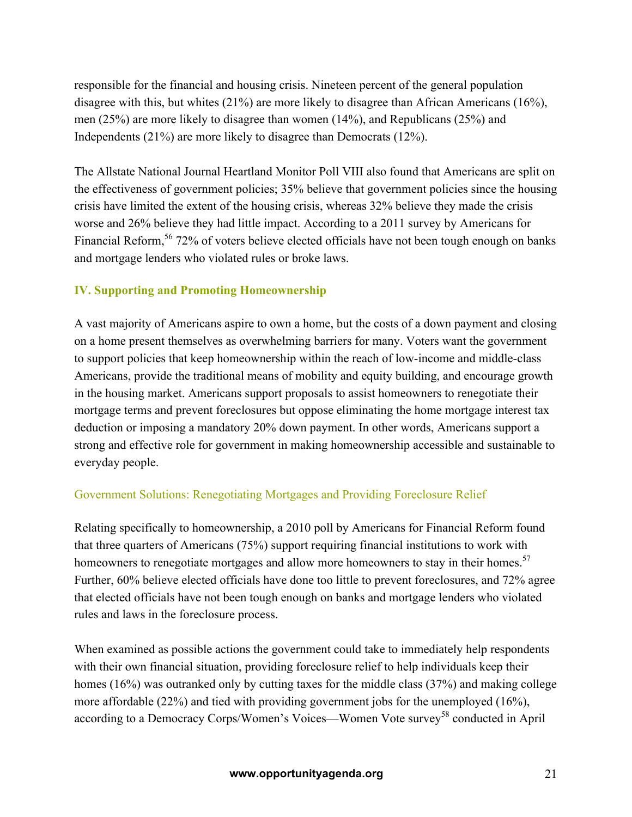responsible for the financial and housing crisis. Nineteen percent of the general population disagree with this, but whites (21%) are more likely to disagree than African Americans (16%), men (25%) are more likely to disagree than women (14%), and Republicans (25%) and Independents (21%) are more likely to disagree than Democrats (12%).

The Allstate National Journal Heartland Monitor Poll VIII also found that Americans are split on the effectiveness of government policies; 35% believe that government policies since the housing crisis have limited the extent of the housing crisis, whereas 32% believe they made the crisis worse and 26% believe they had little impact. According to a 2011 survey by Americans for Financial Reform,<sup>56</sup> 72% of voters believe elected officials have not been tough enough on banks and mortgage lenders who violated rules or broke laws.

#### **IV. Supporting and Promoting Homeownership**

A vast majority of Americans aspire to own a home, but the costs of a down payment and closing on a home present themselves as overwhelming barriers for many. Voters want the government to support policies that keep homeownership within the reach of low-income and middle-class Americans, provide the traditional means of mobility and equity building, and encourage growth in the housing market. Americans support proposals to assist homeowners to renegotiate their mortgage terms and prevent foreclosures but oppose eliminating the home mortgage interest tax deduction or imposing a mandatory 20% down payment. In other words, Americans support a strong and effective role for government in making homeownership accessible and sustainable to everyday people.

#### Government Solutions: Renegotiating Mortgages and Providing Foreclosure Relief

Relating specifically to homeownership, a 2010 poll by Americans for Financial Reform found that three quarters of Americans (75%) support requiring financial institutions to work with homeowners to renegotiate mortgages and allow more homeowners to stay in their homes.<sup>57</sup> Further, 60% believe elected officials have done too little to prevent foreclosures, and 72% agree that elected officials have not been tough enough on banks and mortgage lenders who violated rules and laws in the foreclosure process.

When examined as possible actions the government could take to immediately help respondents with their own financial situation, providing foreclosure relief to help individuals keep their homes (16%) was outranked only by cutting taxes for the middle class (37%) and making college more affordable (22%) and tied with providing government jobs for the unemployed (16%), according to a Democracy Corps/Women's Voices—Women Vote survey<sup>58</sup> conducted in April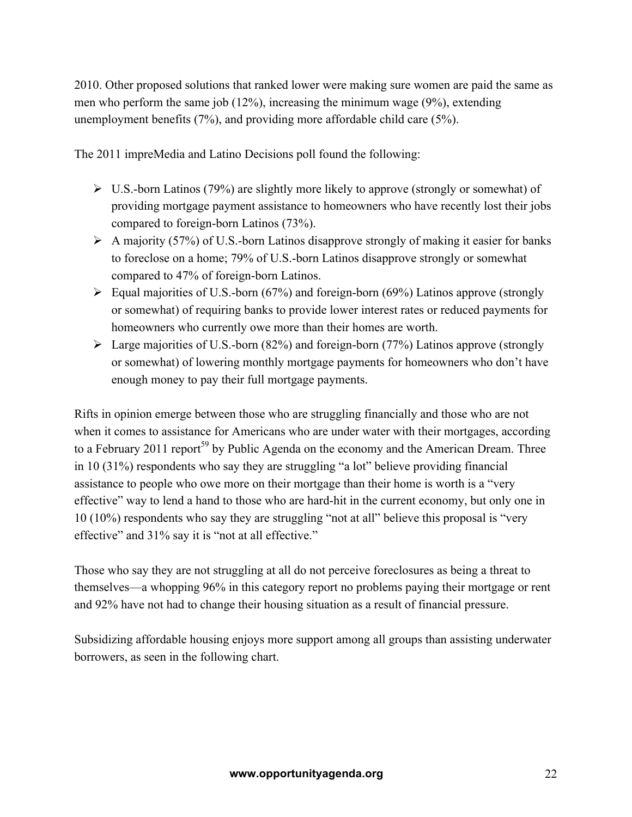2010. Other proposed solutions that ranked lower were making sure women are paid the same as men who perform the same job (12%), increasing the minimum wage (9%), extending unemployment benefits (7%), and providing more affordable child care (5%).

The 2011 impreMedia and Latino Decisions poll found the following:

- $\triangleright$  U.S.-born Latinos (79%) are slightly more likely to approve (strongly or somewhat) of providing mortgage payment assistance to homeowners who have recently lost their jobs compared to foreign-born Latinos (73%).
- $\triangleright$  A majority (57%) of U.S.-born Latinos disapprove strongly of making it easier for banks to foreclose on a home; 79% of U.S.-born Latinos disapprove strongly or somewhat compared to 47% of foreign-born Latinos.
- $\triangleright$  Equal majorities of U.S.-born (67%) and foreign-born (69%) Latinos approve (strongly or somewhat) of requiring banks to provide lower interest rates or reduced payments for homeowners who currently owe more than their homes are worth.
- $\triangleright$  Large majorities of U.S.-born (82%) and foreign-born (77%) Latinos approve (strongly or somewhat) of lowering monthly mortgage payments for homeowners who don't have enough money to pay their full mortgage payments.

Rifts in opinion emerge between those who are struggling financially and those who are not when it comes to assistance for Americans who are under water with their mortgages, according to a February 2011 report<sup>59</sup> by Public Agenda on the economy and the American Dream. Three in 10 (31%) respondents who say they are struggling "a lot" believe providing financial assistance to people who owe more on their mortgage than their home is worth is a "very effective" way to lend a hand to those who are hard-hit in the current economy, but only one in 10 (10%) respondents who say they are struggling "not at all" believe this proposal is "very effective" and 31% say it is "not at all effective."

Those who say they are not struggling at all do not perceive foreclosures as being a threat to themselves—a whopping 96% in this category report no problems paying their mortgage or rent and 92% have not had to change their housing situation as a result of financial pressure.

Subsidizing affordable housing enjoys more support among all groups than assisting underwater borrowers, as seen in the following chart.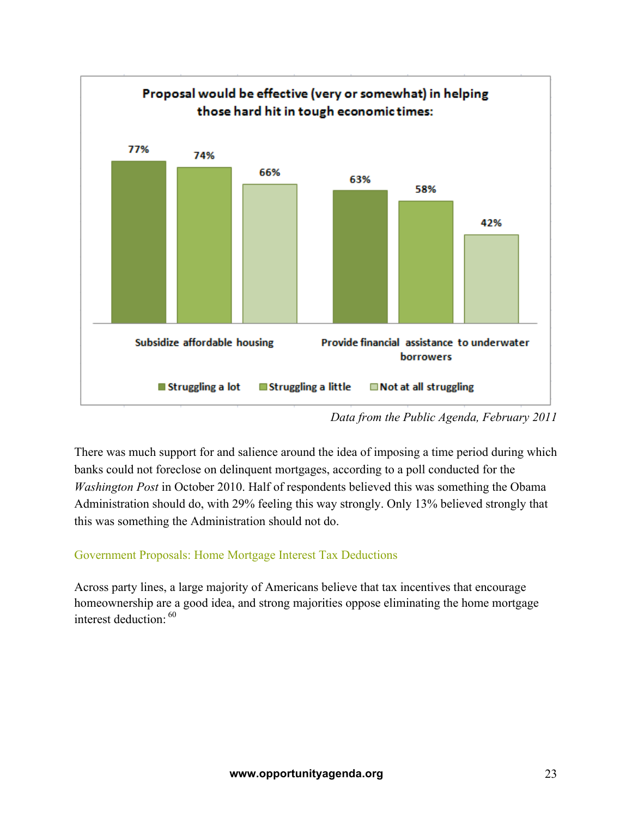

*Data from the Public Agenda, February 2011*

There was much support for and salience around the idea of imposing a time period during which banks could not foreclose on delinquent mortgages, according to a poll conducted for the *Washington Post* in October 2010. Half of respondents believed this was something the Obama Administration should do, with 29% feeling this way strongly. Only 13% believed strongly that this was something the Administration should not do.

## Government Proposals: Home Mortgage Interest Tax Deductions

Across party lines, a large majority of Americans believe that tax incentives that encourage homeownership are a good idea, and strong majorities oppose eliminating the home mortgage interest deduction: <sup>60</sup>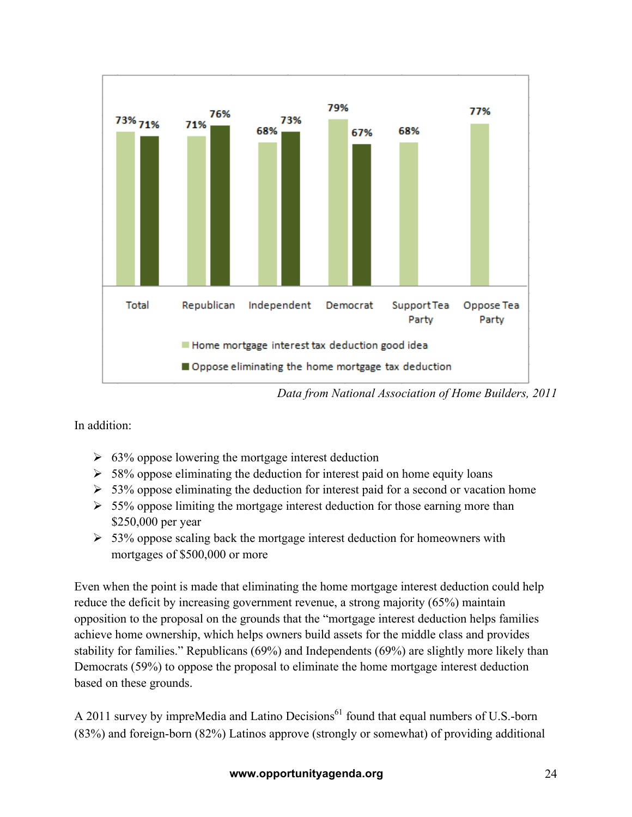

*Data from National Association of Home Builders, 2011*

In addition:

- $\geq 63\%$  oppose lowering the mortgage interest deduction
- $\geq 58\%$  oppose eliminating the deduction for interest paid on home equity loans
- $\geq 53\%$  oppose eliminating the deduction for interest paid for a second or vacation home
- $\geq 55\%$  oppose limiting the mortgage interest deduction for those earning more than \$250,000 per year
- $\geq 53\%$  oppose scaling back the mortgage interest deduction for homeowners with mortgages of \$500,000 or more

Even when the point is made that eliminating the home mortgage interest deduction could help reduce the deficit by increasing government revenue, a strong majority (65%) maintain opposition to the proposal on the grounds that the "mortgage interest deduction helps families achieve home ownership, which helps owners build assets for the middle class and provides stability for families." Republicans (69%) and Independents (69%) are slightly more likely than Democrats (59%) to oppose the proposal to eliminate the home mortgage interest deduction based on these grounds.

A 2011 survey by impreMedia and Latino Decisions<sup>61</sup> found that equal numbers of U.S.-born (83%) and foreign-born (82%) Latinos approve (strongly or somewhat) of providing additional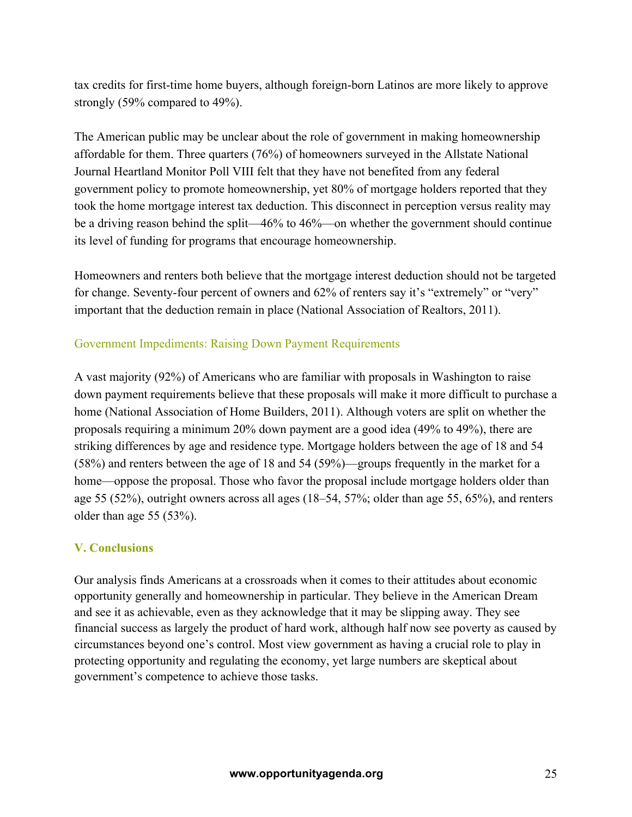tax credits for first-time home buyers, although foreign-born Latinos are more likely to approve strongly (59% compared to 49%).

The American public may be unclear about the role of government in making homeownership affordable for them. Three quarters (76%) of homeowners surveyed in the Allstate National Journal Heartland Monitor Poll VIII felt that they have not benefited from any federal government policy to promote homeownership, yet 80% of mortgage holders reported that they took the home mortgage interest tax deduction. This disconnect in perception versus reality may be a driving reason behind the split—46% to 46%—on whether the government should continue its level of funding for programs that encourage homeownership.

Homeowners and renters both believe that the mortgage interest deduction should not be targeted for change. Seventy-four percent of owners and 62% of renters say it's "extremely" or "very" important that the deduction remain in place (National Association of Realtors, 2011).

#### Government Impediments: Raising Down Payment Requirements

A vast majority (92%) of Americans who are familiar with proposals in Washington to raise down payment requirements believe that these proposals will make it more difficult to purchase a home (National Association of Home Builders, 2011). Although voters are split on whether the proposals requiring a minimum 20% down payment are a good idea (49% to 49%), there are striking differences by age and residence type. Mortgage holders between the age of 18 and 54 (58%) and renters between the age of 18 and 54 (59%)—groups frequently in the market for a home—oppose the proposal. Those who favor the proposal include mortgage holders older than age 55 (52%), outright owners across all ages (18–54, 57%; older than age 55, 65%), and renters older than age 55 (53%).

#### **V. Conclusions**

Our analysis finds Americans at a crossroads when it comes to their attitudes about economic opportunity generally and homeownership in particular. They believe in the American Dream and see it as achievable, even as they acknowledge that it may be slipping away. They see financial success as largely the product of hard work, although half now see poverty as caused by circumstances beyond one's control. Most view government as having a crucial role to play in protecting opportunity and regulating the economy, yet large numbers are skeptical about government's competence to achieve those tasks.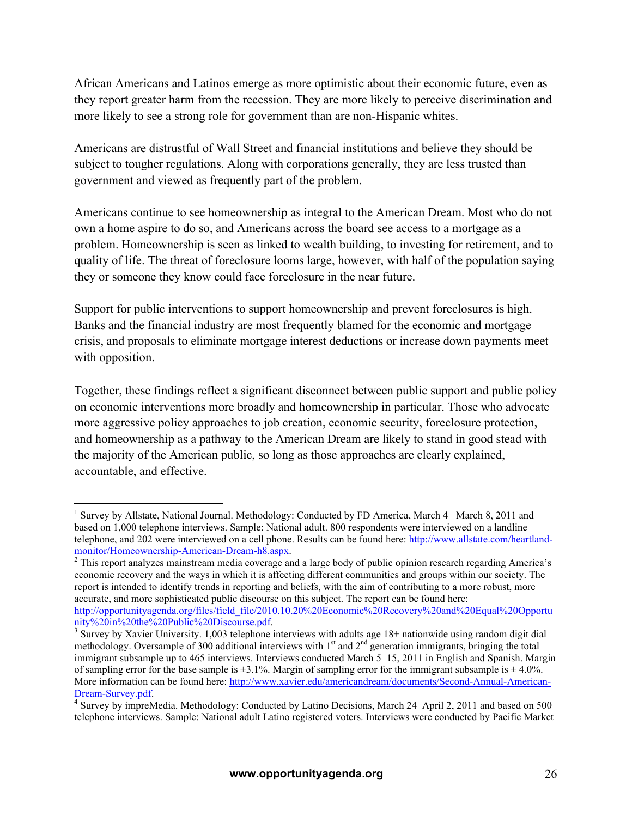African Americans and Latinos emerge as more optimistic about their economic future, even as they report greater harm from the recession. They are more likely to perceive discrimination and more likely to see a strong role for government than are non-Hispanic whites.

Americans are distrustful of Wall Street and financial institutions and believe they should be subject to tougher regulations. Along with corporations generally, they are less trusted than government and viewed as frequently part of the problem.

Americans continue to see homeownership as integral to the American Dream. Most who do not own a home aspire to do so, and Americans across the board see access to a mortgage as a problem. Homeownership is seen as linked to wealth building, to investing for retirement, and to quality of life. The threat of foreclosure looms large, however, with half of the population saying they or someone they know could face foreclosure in the near future.

Support for public interventions to support homeownership and prevent foreclosures is high. Banks and the financial industry are most frequently blamed for the economic and mortgage crisis, and proposals to eliminate mortgage interest deductions or increase down payments meet with opposition.

Together, these findings reflect a significant disconnect between public support and public policy on economic interventions more broadly and homeownership in particular. Those who advocate more aggressive policy approaches to job creation, economic security, foreclosure protection, and homeownership as a pathway to the American Dream are likely to stand in good stead with the majority of the American public, so long as those approaches are clearly explained, accountable, and effective.

<sup>&</sup>lt;sup>1</sup> Survey by Allstate, National Journal. Methodology: Conducted by FD America, March 4– March 8, 2011 and based on 1,000 telephone interviews. Sample: National adult. 800 respondents were interviewed on a landline telephone, and 202 were interviewed on a cell phone. Results can be found here: http://www.allstate.com/heartlandmonitor/Homeownership-American-Dream-h8.aspx.<br><sup>2</sup> This report analyzes mainstream media coverage and a large body of public opinion research regarding America's

economic recovery and the ways in which it is affecting different communities and groups within our society. The report is intended to identify trends in reporting and beliefs, with the aim of contributing to a more robust, more accurate, and more sophisticated public discourse on this subject. The report can be found here: http://opportunityagenda.org/files/field\_file/2010.10.20%20Economic%20Recovery%20and%20Equal%20Opportu nity%20in%20the%20Public%20Discourse.pdf. <sup>3</sup>

 $\frac{3}{3}$  Survey by Xavier University. 1,003 telephone interviews with adults age 18+ nationwide using random digit dial methodology. Oversample of 300 additional interviews with 1<sup>st</sup> and 2<sup>nd</sup> generation immigrants, bringing the total immigrant subsample up to 465 interviews. Interviews conducted March 5–15, 2011 in English and Spanish. Margin of sampling error for the base sample is  $\pm 3.1$ %. Margin of sampling error for the immigrant subsample is  $\pm 4.0$ %. More information can be found here: http://www.xavier.edu/americandream/documents/Second-Annual-American-Dream-Survey.pdf.

 $\overline{4}$  Survey by impreMedia. Methodology: Conducted by Latino Decisions, March 24–April 2, 2011 and based on 500 telephone interviews. Sample: National adult Latino registered voters. Interviews were conducted by Pacific Market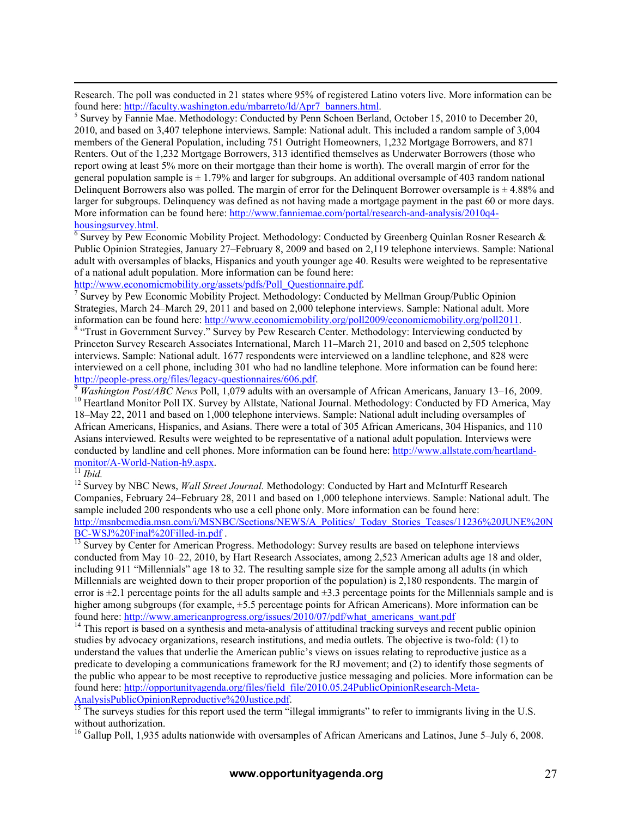Research. The poll was conducted in 21 states where 95% of registered Latino voters live. More information can be found here: http://faculty.washington.edu/mbarreto/ld/Apr7\_banners.html.

 $<sup>5</sup>$  Survey by Fannie Mae. Methodology: Conducted by Penn Schoen Berland, October 15, 2010 to December 20,</sup> 2010, and based on 3,407 telephone interviews. Sample: National adult. This included a random sample of 3,004 members of the General Population, including 751 Outright Homeowners, 1,232 Mortgage Borrowers, and 871 Renters. Out of the 1,232 Mortgage Borrowers, 313 identified themselves as Underwater Borrowers (those who report owing at least 5% more on their mortgage than their home is worth). The overall margin of error for the general population sample is  $\pm$  1.79% and larger for subgroups. An additional oversample of 403 random national Delinquent Borrowers also was polled. The margin of error for the Delinquent Borrower oversample is  $\pm 4.88\%$  and larger for subgroups. Delinquency was defined as not having made a mortgage payment in the past 60 or more days. More information can be found here: http://www.fanniemae.com/portal/research-and-analysis/2010q4 housingsurvey.html. <sup>6</sup>

 $6$  Survey by Pew Economic Mobility Project. Methodology: Conducted by Greenberg Quinlan Rosner Research  $\&$ Public Opinion Strategies, January 27–February 8, 2009 and based on 2,119 telephone interviews. Sample: National adult with oversamples of blacks, Hispanics and youth younger age 40. Results were weighted to be representative of a national adult population. More information can be found here:

http://www.economicmobility.org/assets/pdfs/Poll\_Questionnaire.pdf.

 Survey by Pew Economic Mobility Project. Methodology: Conducted by Mellman Group/Public Opinion Strategies, March 24–March 29, 2011 and based on 2,000 telephone interviews. Sample: National adult. More information can be found here: http://www.economicmobility.org/poll2009/economicmobility.org/poll2011. <sup>8</sup> <sup>8</sup> "Trust in Government Survey." Survey by Pew Research Center. Methodology: Interviewing conducted by Princeton Survey Research Associates International, March 11–March 21, 2010 and based on 2,505 telephone interviews. Sample: National adult. 1677 respondents were interviewed on a landline telephone, and 828 were interviewed on a cell phone, including 301 who had no landline telephone. More information can be found here:

http://people-press.org/files/legacy-questionnaires/606.pdf.<br>
Washington Post/ABC News Poll, 1,079 adults with an oversample of African Americans, January 13–16, 2009.<br>
<sup>10</sup> Heartland Monitor Poll IX. Survey by Allstate, 18–May 22, 2011 and based on 1,000 telephone interviews. Sample: National adult including oversamples of African Americans, Hispanics, and Asians. There were a total of 305 African Americans, 304 Hispanics, and 110 Asians interviewed. Results were weighted to be representative of a national adult population. Interviews were conducted by landline and cell phones. More information can be found here: http://www.allstate.com/heartland-<br>monitor/A-World-Nation-h9.aspx.<br> $\frac{11 \text{ Ibid.}}{11 \text{ Ibid.}}$ 

 $\overline{a}$ 

<sup>12</sup> Survey by NBC News, *Wall Street Journal*. Methodology: Conducted by Hart and McInturff Research Companies, February 24–February 28, 2011 and based on 1,000 telephone interviews. Sample: National adult. The sample included 200 respondents who use a cell phone only. More information can be found here: http://msnbcmedia.msn.com/i/MSNBC/Sections/NEWS/A\_Politics/\_Today\_Stories\_Teases/11236%20JUNE%20N<br>BC-WSJ%20Final%20Filled-in.pdf

<sup>13</sup> Survey by Center for American Progress. Methodology: Survey results are based on telephone interviews conducted from May 10–22, 2010, by Hart Research Associates, among 2,523 American adults age 18 and older, including 911 "Millennials" age 18 to 32. The resulting sample size for the sample among all adults (in which Millennials are weighted down to their proper proportion of the population) is 2,180 respondents. The margin of error is  $\pm 2.1$  percentage points for the all adults sample and  $\pm 3.3$  percentage points for the Millennials sample and is higher among subgroups (for example,  $\pm$ 5.5 percentage points for African Americans). More information can be found here: http://www.americanprogress.org/issues/2010/07/pdf/what\_americans\_want.pdf <sup>14</sup> This report is based on a synthesis and meta-analysis of attitudinal tracking surveys and recent public opinion

studies by advocacy organizations, research institutions, and media outlets. The objective is two-fold: (1) to understand the values that underlie the American public's views on issues relating to reproductive justice as a predicate to developing a communications framework for the RJ movement; and (2) to identify those segments of the public who appear to be most receptive to reproductive justice messaging and policies. More information can be found here: http://opportunityagenda.org/files/field\_file/2010.05.24PublicOpinionResearch-Meta-<br>AnalysisPublicOpinionReproductive%20Justice.pdf.<br><sup>15</sup> The sympate studies for this

The surveys studies for this report used the term "illegal immigrants" to refer to immigrants living in the U.S. without authorization.

<sup>16</sup> Gallup Poll, 1,935 adults nationwide with oversamples of African Americans and Latinos, June 5–July 6, 2008.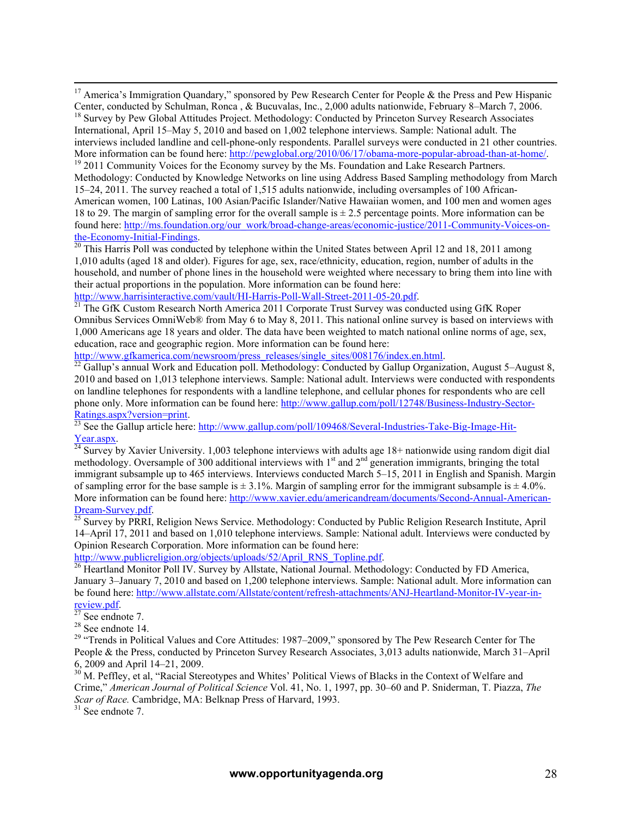<sup>17</sup> America's Immigration Quandary," sponsored by Pew Research Center for People & the Press and Pew Hispanic Center, conducted by Schulman, Ronca, & Bucuvalas, Inc., 2,000 adults nationwide, February 8–March 7, 2006.

<sup>18</sup> Survey by Pew Global Attitudes Project. Methodology: Conducted by Princeton Survey Research Associates International, April 15–May 5, 2010 and based on 1,002 telephone interviews. Sample: National adult. The interviews included landline and cell-phone-only respondents. Parallel surveys were conducted in 21 other countries.<br>More information can be found here: http://pewglobal.org/2010/06/17/obama-more-popular-abroad-than-at-hom

<sup>19</sup> 2011 Community Voices for the Economy survey by the Ms. Foundation and Lake Research Partners. Methodology: Conducted by Knowledge Networks on line using Address Based Sampling methodology from March 15–24, 2011. The survey reached a total of 1,515 adults nationwide, including oversamples of 100 African-American women, 100 Latinas, 100 Asian/Pacific Islander/Native Hawaiian women, and 100 men and women ages 18 to 29. The margin of sampling error for the overall sample is ± 2.5 percentage points. More information can be found here: http://ms.foundation.org/our\_work/broad-change-areas/economic-justice/2011-Community-Voices-onthe-Economy-Initial-Findings.<br><sup>20</sup> This Harris Poll was conducted by telephone within the United States between April 12 and 18, 2011 among

1,010 adults (aged 18 and older). Figures for age, sex, race/ethnicity, education, region, number of adults in the household, and number of phone lines in the household were weighted where necessary to bring them into line with their actual proportions in the population. More information can be found here:

http://www.harrisinteractive.com/vault/HI-Harris-Poll-Wall-Street-2011-05-20.pdf.<br><sup>21</sup> The GfK Custom Research North America 2011 Corporate Trust Survey was conducted using GfK Roper Omnibus Services OmniWeb® from May 6 to May 8, 2011. This national online survey is based on interviews with 1,000 Americans age 18 years and older. The data have been weighted to match national online norms of age, sex, education, race and geographic region. More information can be found here:

http://www.gfkamerica.com/newsroom/press\_releases/single\_sites/008176/index.en.html.<br><sup>22</sup> Gallup's annual Work and Education poll. Methodology: Conducted by Gallup Organization, August 5–August 8, 2010 and based on 1,013 telephone interviews. Sample: National adult. Interviews were conducted with respondents on landline telephones for respondents with a landline telephone, and cellular phones for respondents who are cell phone only. More information can be found here: http://www.gallup.com/poll/12748/Business-Industry-Sector-

Ratings.aspx?version=print.<br><sup>23</sup> See the Gallup article here: http://www.gallup.com/poll/109468/Several-Industries-Take-Big-Image-Hit-<br>Year.aspx.

 $\frac{24}{24}$  Survey by Xavier University. 1,003 telephone interviews with adults age 18+ nationwide using random digit dial methodology. Oversample of 300 additional interviews with 1<sup>st</sup> and 2<sup>nd</sup> generation immigrants, bringing the total immigrant subsample up to 465 interviews. Interviews conducted March 5–15, 2011 in English and Spanish. Margin of sampling error for the base sample is  $\pm 3.1\%$ . Margin of sampling error for the immigrant subsample is  $\pm 4.0\%$ . More information can be found here: http://www.xavier.edu/americandream/documents/Second-Annual-American-Dream-Survey.pdf. <sup>25</sup> Survey by PRRI, Religion News Service. Methodology: Conducted by Public Religion Research Institute, April

14–April 17, 2011 and based on 1,010 telephone interviews. Sample: National adult. Interviews were conducted by Opinion Research Corporation. More information can be found here:

http://www.publicreligion.org/objects/uploads/52/April\_RNS\_Topline.pdf.<br><sup>26</sup> Heartland Monitor Poll IV. Survey by Allstate, National Journal. Methodology: Conducted by FD America, January 3–January 7, 2010 and based on 1,200 telephone interviews. Sample: National adult. More information can be found here: http://www.allstate.com/Allstate/content/refresh-attachments/ANJ-Heartland-Monitor-IV-year-in-<br>review.pdf.<br><sup>27</sup> See endnote 7.

<sup>28</sup> See endnote 14. <sup>29</sup> "Trends in Political Values and Core Attitudes: 1987–2009," sponsored by The Pew Research Center for The People & the Press, conducted by Princeton Survey Research Associates, 3,013 adults nationwide, March 31–April

6, 2009 and April 14–21, 2009.<br><sup>30</sup> M. Peffley, et al, "Racial Stereotypes and Whites' Political Views of Blacks in the Context of Welfare and Crime," *American Journal of Political Science* Vol. 41, No. 1, 1997, pp. 30–60 and P. Sniderman, T. Piazza, *The Scar of Race.* Cambridge, MA: Belknap Press of Harvard, 1993. <sup>31</sup> See endnote 7.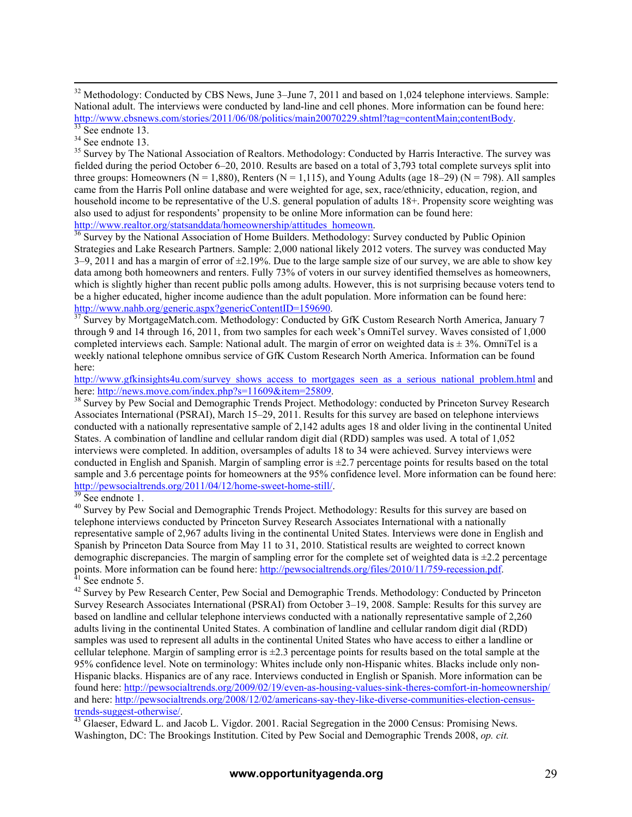fielded during the period October 6–20, 2010. Results are based on a total of 3,793 total complete surveys split into three groups: Homeowners ( $N = 1.880$ ), Renters ( $N = 1.115$ ), and Young Adults (age 18–29) ( $N = 798$ ). All samples came from the Harris Poll online database and were weighted for age, sex, race/ethnicity, education, region, and household income to be representative of the U.S. general population of adults 18+. Propensity score weighting was also used to adjust for respondents' propensity to be online More information can be found here: http://www.realtor.org/statsanddata/homeownership/attitudes\_homeown.<br><sup>36</sup> Survey by the National Association of Home Builders. Methodology: Survey conducted by Public Opinion

Strategies and Lake Research Partners. Sample: 2,000 national likely 2012 voters. The survey was conducted May  $3-9$ , 2011 and has a margin of error of  $\pm 2.19$ %. Due to the large sample size of our survey, we are able to show key data among both homeowners and renters. Fully 73% of voters in our survey identified themselves as homeowners, which is slightly higher than recent public polls among adults. However, this is not surprising because voters tend to be a higher educated, higher income audience than the adult population. More information can be found here: http://www.nahb.org/generic.aspx?genericContentID=159690.<br><sup>37</sup> Survey by MortgageMatch.com. Methodology: Conducted by GfK Custom Research North America, January 7

through 9 and 14 through 16, 2011, from two samples for each week's OmniTel survey. Waves consisted of 1,000 completed interviews each. Sample: National adult. The margin of error on weighted data is  $\pm$  3%. OmniTel is a weekly national telephone omnibus service of GfK Custom Research North America. Information can be found here:

http://www.gfkinsights4u.com/survey\_shows\_access\_to\_mortgages\_seen\_as\_a\_serious\_national\_problem.html and<br>here: http://news.move.com/index.php?s=11609&item=25809.

<sup>38</sup> Survey by Pew Social and Demographic Trends Project. Methodology: conducted by Princeton Survey Research Associates International (PSRAI), March 15–29, 2011. Results for this survey are based on telephone interviews conducted with a nationally representative sample of 2,142 adults ages 18 and older living in the continental United States. A combination of landline and cellular random digit dial (RDD) samples was used. A total of 1,052 interviews were completed. In addition, oversamples of adults 18 to 34 were achieved. Survey interviews were conducted in English and Spanish. Margin of sampling error is  $\pm$ 2.7 percentage points for results based on the total sample and 3.6 percentage points for homeowners at the 95% confidence level. More information can be found here:<br>http://pewsocialtrends.org/2011/04/12/home-sweet-home-still/.

<sup>39</sup> See endnote 1.<br><sup>40</sup> Survey by Pew Social and Demographic Trends Project. Methodology: Results for this survey are based on telephone interviews conducted by Princeton Survey Research Associates International with a nationally representative sample of 2,967 adults living in the continental United States. Interviews were done in English and Spanish by Princeton Data Source from May 11 to 31, 2010. Statistical results are weighted to correct known demographic discrepancies. The margin of sampling error for the complete set of weighted data is  $\pm$ 2.2 percentage points. More information can be found here: http://pewsocialtrends.org/files/2010/11/759-recession.pdf.<br><sup>41</sup> See endnote 5.<br><sup>42</sup> Survey by Pew Research Center, Pew Social and Demographic Trends. Methodology: Conducted by P

Survey Research Associates International (PSRAI) from October 3–19, 2008. Sample: Results for this survey are based on landline and cellular telephone interviews conducted with a nationally representative sample of 2,260 adults living in the continental United States. A combination of landline and cellular random digit dial (RDD) samples was used to represent all adults in the continental United States who have access to either a landline or cellular telephone. Margin of sampling error is  $\pm 2.3$  percentage points for results based on the total sample at the 95% confidence level. Note on terminology: Whites include only non-Hispanic whites. Blacks include only non-Hispanic blacks. Hispanics are of any race. Interviews conducted in English or Spanish. More information can be found here: http://pewsocialtrends.org/2009/02/19/even-as-housing-values-sink-theres-comfort-in-homeownership/ and here: http://pewsocialtrends.org/2008/12/02/americans-say-they-like-diverse-communities-election-censustrends-suggest-otherwise/. 43 Glaeser, Edward L. and Jacob L. Vigdor. 2001. Racial Segregation in the 2000 Census: Promising News.

Washington, DC: The Brookings Institution. Cited by Pew Social and Demographic Trends 2008, *op. cit.*

<sup>&</sup>lt;sup>32</sup> Methodology: Conducted by CBS News, June 3–June 7, 2011 and based on 1,024 telephone interviews. Sample: National adult. The interviews were conducted by land-line and cell phones. More information can be found here: http://www.cbsnews.com/stories/2011/06/08/politics/main20070229.shtml?tag=contentMain;contentBody.<br>
<sup>34</sup> See endnote 13.<br>
<sup>34</sup> See endnote 13.<br>
<sup>35</sup> Survey by The National Association of Realtors. Methodology: Conducted by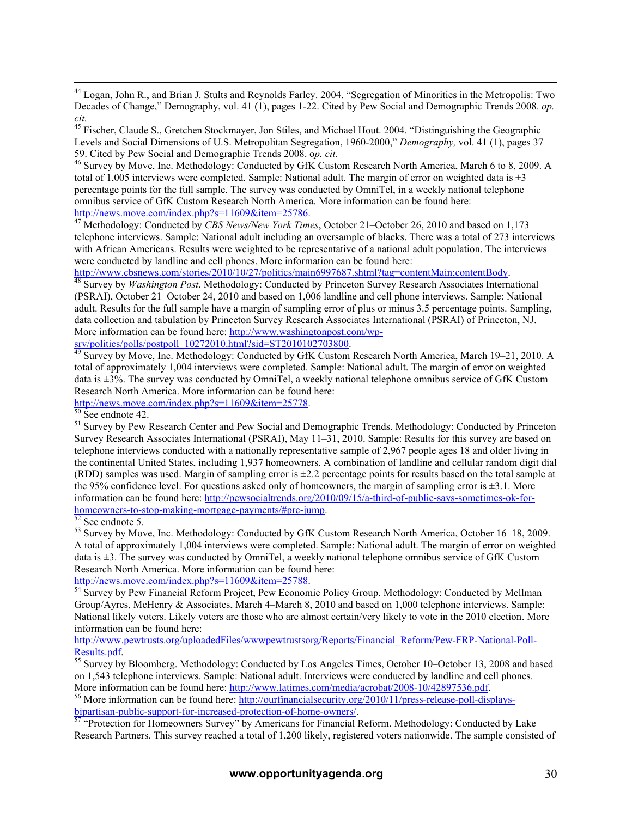<sup>44</sup> Logan, John R., and Brian J. Stults and Reynolds Farley. 2004. "Segregation of Minorities in the Metropolis: Two Decades of Change," Demography, vol. 41 (1), pages 1-22. Cited by Pew Social and Demographic Trends 2008. *op. cit.*

<sup>45</sup> Fischer, Claude S., Gretchen Stockmayer, Jon Stiles, and Michael Hout. 2004. "Distinguishing the Geographic Levels and Social Dimensions of U.S. Metropolitan Segregation, 1960-2000," *Demography*, vol. 41 (1), pages 37–59. Cited by Pew Social and Demographic Trends 2008. op. cit.

<sup>46</sup> Survey by Move, Inc. Methodology: Conducted by GfK Custom Research North America, March 6 to 8, 2009. A total of 1,005 interviews were completed. Sample: National adult. The margin of error on weighted data is  $\pm 3$ percentage points for the full sample. The survey was conducted by OmniTel, in a weekly national telephone omnibus service of GfK Custom Research North America. More information can be found here: http://news.move.com/index.php?s=11609&item=25786. <sup>47</sup> Methodology: Conducted by *CBS News/New York Times*, October 21–October 26, 2010 and based on 1,173

telephone interviews. Sample: National adult including an oversample of blacks. There was a total of 273 interviews with African Americans. Results were weighted to be representative of a national adult population. The interviews were conducted by landline and cell phones. More information can be found here:<br>http://www.cbsnews.com/stories/2010/10/27/politics/main6997687.shtml?tag=contentMain;contentBody.

Survey by *Washington Post*. Methodology: Conducted by Princeton Survey Research Associates International (PSRAI), October 21–October 24, 2010 and based on 1,006 landline and cell phone interviews. Sample: National adult. Results for the full sample have a margin of sampling error of plus or minus 3.5 percentage points. Sampling, data collection and tabulation by Princeton Survey Research Associates International (PSRAI) of Princeton, NJ. More information can be found here: http://www.washingtonpost.com/wp-

srv/politics/polls/postpoll\_10272010.html?sid=ST2010102703800.<br><sup>49</sup> Survey by Move, Inc. Methodology: Conducted by GfK Custom Research North America, March 19–21, 2010. A total of approximately 1,004 interviews were completed. Sample: National adult. The margin of error on weighted data is ±3%. The survey was conducted by OmniTel, a weekly national telephone omnibus service of GfK Custom Research North America. More information can be found here:

http://news.move.com/index.php?s=11609&item=25778.<br><sup>50</sup> See endnote 42.<br><sup>51</sup> Survey by Pew Research Center and Pew Social and Demographic Trends. Methodology: Conducted by Princeton Survey Research Associates International (PSRAI), May 11–31, 2010. Sample: Results for this survey are based on telephone interviews conducted with a nationally representative sample of 2,967 people ages 18 and older living in the continental United States, including 1,937 homeowners. A combination of landline and cellular random digit dial (RDD) samples was used. Margin of sampling error is  $\pm 2.2$  percentage points for results based on the total sample at the 95% confidence level. For questions asked only of homeowners, the margin of sampling error is  $\pm 3.1$ . More information can be found here: http://pewsocialtrends.org/2010/09/15/a-third-of-public-says-sometimes-ok-forhomeowners-to-stop-making-mortgage-payments/#prc-jump.<br>
<sup>52</sup> See endnote 5.<br>
<sup>53</sup> Survey by Move, Inc. Methodology: Conducted by GfK Custom Research North America, October 16–18, 2009.

A total of approximately 1,004 interviews were completed. Sample: National adult. The margin of error on weighted data is ±3. The survey was conducted by OmniTel, a weekly national telephone omnibus service of GfK Custom Research North America. More information can be found here:

http://news.move.com/index.php?s=11609&item=25788.<br><sup>54</sup> Survey by Pew Financial Reform Project, Pew Economic Policy Group. Methodology: Conducted by Mellman Group/Ayres, McHenry & Associates, March 4–March 8, 2010 and based on 1,000 telephone interviews. Sample: National likely voters. Likely voters are those who are almost certain/very likely to vote in the 2010 election. More information can be found here:

http://www.pewtrusts.org/uploadedFiles/wwwpewtrustsorg/Reports/Financial\_Reform/Pew-FRP-National-Poll-Results.pdf.<br><sup>55</sup> Survey by Bloomberg. Methodology: Conducted by Los Angeles Times, October 10–October 13, 2008 and based

on 1,543 telephone interviews. Sample: National adult. Interviews were conducted by landline and cell phones.<br>More information can be found here: http://www.latimes.com/media/acrobat/2008-10/42897536.pdf.

<sup>56</sup> More information can be found here: http://ourfinancialsecurity.org/2010/11/press-release-poll-displaysbipartisan-public-support-for-increased-protection-of-home-owners/.<br>
<sup>57</sup> "Protection for Homeowners Survey" by Americans for Financial Reform. Methodology: Conducted by Lake

Research Partners. This survey reached a total of 1,200 likely, registered voters nationwide. The sample consisted of